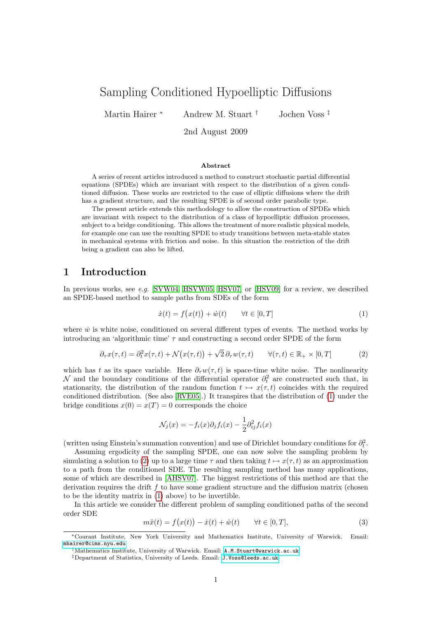# Sampling Conditioned Hypoelliptic Diffusions

Martin Hairer <sup>∗</sup> Andrew M. Stuart † Jochen Voss ‡

2nd August 2009

#### Abstract

A series of recent articles introduced a method to construct stochastic partial differential equations (SPDEs) which are invariant with respect to the distribution of a given conditioned diffusion. These works are restricted to the case of elliptic diffusions where the drift has a gradient structure, and the resulting SPDE is of second order parabolic type.

The present article extends this methodology to allow the construction of SPDEs which are invariant with respect to the distribution of a class of hypoelliptic diffusion processes, subject to a bridge conditioning. This allows the treatment of more realistic physical models, for example one can use the resulting SPDE to study transitions between meta-stable states in mechanical systems with friction and noise. In this situation the restriction of the drift being a gradient can also be lifted.

## 1 Introduction

In previous works, see e.g.  $[SVW04, HSVW05, HSV07]$  $[SVW04, HSVW05, HSV07]$  $[SVW04, HSVW05, HSV07]$  or  $[HSV09]$  for a review, we described an SPDE-based method to sample paths from SDEs of the form

<span id="page-0-1"></span><span id="page-0-0"></span>
$$
\dot{x}(t) = f(x(t)) + \dot{w}(t) \qquad \forall t \in [0, T] \tag{1}
$$

where  $\dot{w}$  is white noise, conditioned on several different types of events. The method works by introducing an 'algorithmic time'  $\tau$  and constructing a second order SPDE of the form

$$
\partial_{\tau} x(\tau, t) = \partial_t^2 x(\tau, t) + \mathcal{N}(x(\tau, t)) + \sqrt{2} \partial_{\tau} w(\tau, t) \qquad \forall (\tau, t) \in \mathbb{R}_+ \times [0, T]
$$
 (2)

which has t as its space variable. Here  $\partial_{\tau}w(\tau,t)$  is space-time white noise. The nonlinearity N and the boundary conditions of the differential operator  $\partial_t^2$  are constructed such that, in stationarity, the distribution of the random function  $t \mapsto x(\tau, t)$  coincides with the required conditioned distribution. (See also [\[RVE05\]](#page-20-4).) It transpires that the distribution of [\(1\)](#page-0-0) under the bridge conditions  $x(0) = x(T) = 0$  corresponds the choice

$$
\mathcal{N}_j(x) = -f_i(x)\partial_j f_i(x) - \frac{1}{2}\partial_{ij}^2 f_i(x)
$$

(written using Einstein's summation convention) and use of Dirichlet boundary conditions for  $\partial_t^2$ .

Assuming ergodicity of the sampling SPDE, one can now solve the sampling problem by simulating a solution to [\(2\)](#page-0-1) up to a large time  $\tau$  and then taking  $t \mapsto x(\tau, t)$  as an approximation to a path from the conditioned SDE. The resulting sampling method has many applications, some of which are described in [\[AHSV07\]](#page-19-0). The biggest restrictions of this method are that the derivation requires the drift f to have some gradient structure and the diffusion matrix (chosen to be the identity matrix in [\(1\)](#page-0-0) above) to be invertible.

In this article we consider the different problem of sampling conditioned paths of the second order SDE

<span id="page-0-2"></span>
$$
m\ddot{x}(t) = f(x(t)) - \dot{x}(t) + \dot{w}(t) \qquad \forall t \in [0, T],
$$
\n(3)

<sup>∗</sup>Courant Institute, New York University and Mathematics Institute, University of Warwick. Email: [mhairer@cims.nyu.edu](mailto:mhairer@cims.nyu.edu)

<sup>†</sup>Mathematics Institute, University of Warwick. Email: [A.M.Stuart@warwick.ac.uk](mailto:A.M.Stuart@warwick.ac.uk)

<sup>‡</sup>Department of Statistics, University of Leeds. Email: [J.Voss@leeds.ac.uk](mailto:J.Voss@leeds.ac.uk)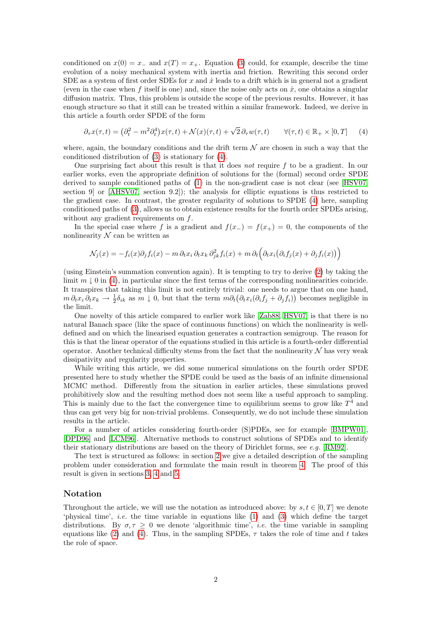conditioned on  $x(0) = x_-\text{ and } x(T) = x_+$ . Equation [\(3\)](#page-0-2) could, for example, describe the time evolution of a noisy mechanical system with inertia and friction. Rewriting this second order SDE as a system of first order SDEs for  $x$  and  $\dot{x}$  leads to a drift which is in general not a gradient (even in the case when f itself is one) and, since the noise only acts on  $\dot{x}$ , one obtains a singular diffusion matrix. Thus, this problem is outside the scope of the previous results. However, it has enough structure so that it still can be treated within a similar framework. Indeed, we derive in this article a fourth order SPDE of the form

<span id="page-1-0"></span>
$$
\partial_{\tau} x(\tau, t) = \left(\partial_t^2 - m^2 \partial_t^4\right) x(\tau, t) + \mathcal{N}(x)(\tau, t) + \sqrt{2} \partial_{\tau} w(\tau, t) \qquad \forall (\tau, t) \in \mathbb{R}_+ \times [0, T] \tag{4}
$$

where, again, the boundary conditions and the drift term  $\mathcal N$  are chosen in such a way that the conditioned distribution of [\(3\)](#page-0-2) is stationary for [\(4\)](#page-1-0).

One surprising fact about this result is that it does not require  $f$  to be a gradient. In our earlier works, even the appropriate definition of solutions for the (formal) second order SPDE derived to sample conditioned paths of [\(1\)](#page-0-0) in the non-gradient case is not clear (see [\[HSV07,](#page-20-2) section 9] or [\[AHSV07,](#page-19-0) section 9.2]); the analysis for elliptic equations is thus restricted to the gradient case. In contrast, the greater regularity of solutions to SPDE [\(4\)](#page-1-0) here, sampling conditioned paths of [\(3\)](#page-0-2), allows us to obtain existence results for the fourth order SPDEs arising, without any gradient requirements on f.

In the special case where f is a gradient and  $f(x<sub>-</sub>) = f(x<sub>+</sub>) = 0$ , the components of the nonlinearity  $N$  can be written as

$$
\mathcal{N}_j(x) = -f_i(x)\partial_j f_i(x) - m \partial_t x_i \partial_t x_k \partial_{jk}^2 f_i(x) + m \partial_t \left(\partial_t x_i(\partial_i f_j(x) + \partial_j f_i(x))\right)
$$

(using Einstein's summation convention again). It is tempting to try to derive [\(2\)](#page-0-1) by taking the limit  $m \perp 0$  in [\(4\)](#page-1-0), in particular since the first terms of the corresponding nonlinearities coincide. It transpires that taking this limit is not entirely trivial: one needs to argue that on one hand,  $m \partial_t x_i \partial_t x_k \to \frac{1}{2} \delta_{ik}$  as  $m \downarrow 0$ , but that the term  $m \partial_t (\partial_t x_i (\partial_i f_j + \partial_j f_i))$  becomes negligible in the limit.

One novelty of this article compared to earlier work like [\[Zab88,](#page-20-5) [HSV07\]](#page-20-2) is that there is no natural Banach space (like the space of continuous functions) on which the nonlinearity is welldefined and on which the linearised equation generates a contraction semigroup. The reason for this is that the linear operator of the equations studied in this article is a fourth-order differential operator. Another technical difficulty stems from the fact that the nonlinearity  $\mathcal N$  has very weak dissipativity and regularity properties.

While writing this article, we did some numerical simulations on the fourth order SPDE presented here to study whether the SPDE could be used as the basis of an infinite dimensional MCMC method. Differently from the situation in earlier articles, these simulations proved prohibitively slow and the resulting method does not seem like a useful approach to sampling. This is mainly due to the fact the convergence time to equilibrium seems to grow like  $T<sup>4</sup>$  and thus can get very big for non-trivial problems. Consequently, we do not include these simulation results in the article.

For a number of articles considering fourth-order (S)PDEs, see for example [\[BMPW01\]](#page-20-6), [\[DPD96\]](#page-20-7) and [\[LCM96\]](#page-20-8). Alternative methods to construct solutions of SPDEs and to identify their stationary distributions are based on the theory of Dirichlet forms, see e.g. [\[RM92\]](#page-20-9).

The text is structured as follows: in section [2](#page-2-0) we give a detailed description of the sampling problem under consideration and formulate the main result in theorem [4.](#page-3-0) The proof of this result is given in sections [3,](#page-4-0) [4](#page-10-0) and [5.](#page-12-0)

#### Notation

Throughout the article, we will use the notation as introduced above: by  $s, t \in [0, T]$  we denote 'physical time', i.e. the time variable in equations like [\(1\)](#page-0-0) and [\(3\)](#page-0-2) which define the target distributions. By  $\sigma, \tau \geq 0$  we denote 'algorithmic time', *i.e.* the time variable in sampling equations like [\(2\)](#page-0-1) and [\(4\)](#page-1-0). Thus, in the sampling SPDEs,  $\tau$  takes the role of time and t takes the role of space.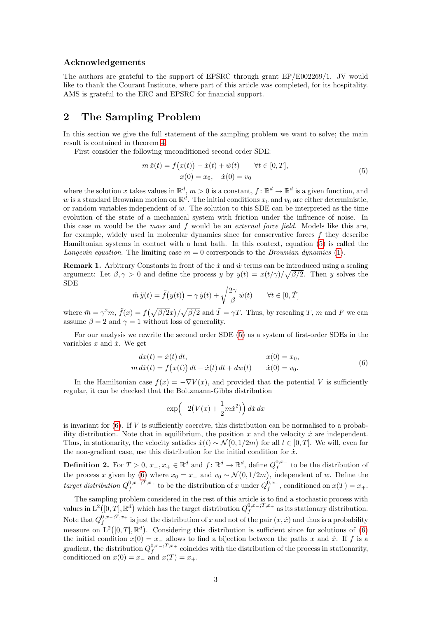#### Acknowledgements

The authors are grateful to the support of EPSRC through grant EP/E002269/1. JV would like to thank the Courant Institute, where part of this article was completed, for its hospitality. AMS is grateful to the ERC and EPSRC for financial support.

# <span id="page-2-0"></span>2 The Sampling Problem

In this section we give the full statement of the sampling problem we want to solve; the main result is contained in theorem [4.](#page-3-0)

First consider the following unconditioned second order SDE:

<span id="page-2-1"></span>
$$
m\ddot{x}(t) = f(x(t)) - \dot{x}(t) + \dot{w}(t) \qquad \forall t \in [0, T],
$$
  
\n
$$
x(0) = x_0, \quad \dot{x}(0) = v_0
$$
\n(5)

where the solution x takes values in  $\mathbb{R}^d$ ,  $m>0$  is a constant,  $f: \mathbb{R}^d \to \mathbb{R}^d$  is a given function, and w is a standard Brownian motion on  $\mathbb{R}^d$ . The initial conditions  $x_0$  and  $v_0$  are either deterministic, or random variables independent of  $w$ . The solution to this SDE can be interpreted as the time evolution of the state of a mechanical system with friction under the influence of noise. In this case m would be the mass and f would be an external force field. Models like this are, for example, widely used in molecular dynamics since for conservative forces  $f$  they describe Hamiltonian systems in contact with a heat bath. In this context, equation [\(5\)](#page-2-1) is called the Langevin equation. The limiting case  $m = 0$  corresponds to the *Brownian dynamics* [\(1\)](#page-0-0).

<span id="page-2-4"></span>**Remark 1.** Arbitrary Constants in front of the  $\dot{x}$  and  $\dot{w}$  terms can be introduced using a scaling argument: Let  $\beta, \gamma > 0$  and define the process y by  $y(t) = x(t/\gamma)/\sqrt{\beta/2}$ . Then y solves the SDE

$$
\tilde{m}\,\ddot{y}(t) = \tilde{f}\big(y(t)\big) - \gamma\,\dot{y}(t) + \sqrt{\frac{2\gamma}{\beta}}\,\dot{w}(t) \qquad \forall t \in [0,\tilde{T}]
$$

where  $\tilde{m} = \gamma^2 m$ ,  $\tilde{f}(x) = f(\sqrt{\beta/2}x)/\sqrt{\beta/2}$  and  $\tilde{T} = \gamma T$ . Thus, by rescaling T, m and F we can assume  $\beta = 2$  and  $\gamma = 1$  without loss of generality.

For our analysis we rewrite the second order SDE [\(5\)](#page-2-1) as a system of first-order SDEs in the variables  $x$  and  $\dot{x}$ . We get

$$
dx(t) = \dot{x}(t) dt, \qquad x(0) = x_0, \nm \, d\dot{x}(t) = f(x(t)) dt - \dot{x}(t) dt + dw(t) \qquad \dot{x}(0) = v_0.
$$
\n(6)

In the Hamiltonian case  $f(x) = -\nabla V(x)$ , and provided that the potential V is sufficiently regular, it can be checked that the Boltzmann-Gibbs distribution

<span id="page-2-2"></span>
$$
\exp\left(-2\left(V(x) + \frac{1}{2}m\dot{x}^2\right)\right)dx\,dx
$$

is invariant for  $(6)$ . If V is sufficiently coercive, this distribution can be normalised to a probability distribution. Note that in equilibrium, the position  $x$  and the velocity  $\dot{x}$  are independent. Thus, in stationarity, the velocity satisfies  $\dot{x}(t) \sim \mathcal{N}(0, 1/2m)$  for all  $t \in [0, T]$ . We will, even for the non-gradient case, use this distribution for the initial condition for  $\dot{x}$ .

<span id="page-2-3"></span>**Definition 2.** For  $T > 0$ ,  $x_-, x_+ \in \mathbb{R}^d$  and  $f: \mathbb{R}^d \to \mathbb{R}^d$ , define  $Q_f^{0,x_-}$  to be the distribution of the process x given by [\(6\)](#page-2-2) where  $x_0 = x_-\,$  and  $v_0 \sim \mathcal{N}(0, 1/2m)$ , independent of w. Define the target distribution  $Q_f^{0,x_-;T,x_+}$  to be the distribution of x under  $Q_f^{0,x_-}$ , conditioned on  $x(T) = x_+$ .

The sampling problem considered in the rest of this article is to find a stochastic process with values in  $L^2([0,T], \mathbb{R}^d)$  which has the target distribution  $Q_f^{0,x_-;T,x_+}$  as its stationary distribution. Note that  $Q_f^{0,x_-;T,x_+}$  is just the distribution of x and not of the pair  $(x, \dot{x})$  and thus is a probability measure on  $L^2([0,T], \mathbb{R}^d)$ . Considering this distribution is sufficient since for solutions of [\(6\)](#page-2-2) the initial condition  $x(0) = x_-\$  allows to find a bijection between the paths x and  $\dot{x}$ . If f is a gradient, the distribution  $Q_f^{0,x-,T,x_+}$  coincides with the distribution of the process in stationarity, conditioned on  $x(0) = x_-\text{ and } x(T) = x_+$ .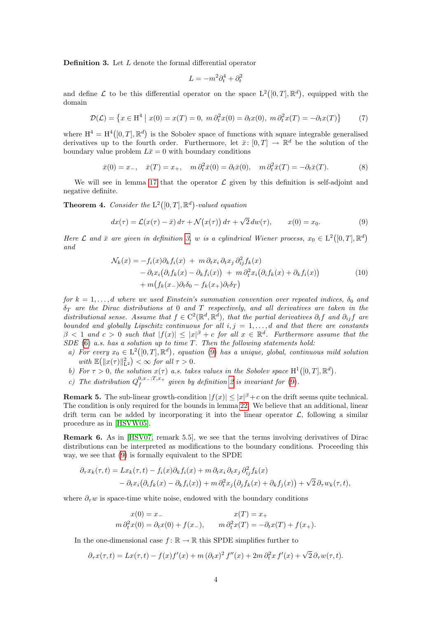<span id="page-3-1"></span>Definition 3. Let L denote the formal differential operator

<span id="page-3-4"></span><span id="page-3-3"></span><span id="page-3-2"></span>
$$
L = -m^2 \partial_t^4 + \partial_t^2
$$

and define L to be this differential operator on the space  $L^2([0,T],\mathbb{R}^d)$ , equipped with the domain

$$
\mathcal{D}(\mathcal{L}) = \left\{ x \in \mathcal{H}^4 \mid x(0) = x(T) = 0, \ m \partial_t^2 x(0) = \partial_t x(0), \ m \partial_t^2 x(T) = -\partial_t x(T) \right\} \tag{7}
$$

where  $H^4 = H^4([0, T], \mathbb{R}^d)$  is the Sobolev space of functions with square integrable generalised derivatives up to the fourth order. Furthermore, let  $\bar{x}$ :  $[0,T] \to \mathbb{R}^d$  be the solution of the boundary value problem  $L\bar{x}=0$  with boundary conditions

$$
\bar{x}(0) = x_-, \quad \bar{x}(T) = x_+, \quad m \partial_t^2 \bar{x}(0) = \partial_t \bar{x}(0), \quad m \partial_t^2 \bar{x}(T) = -\partial_t \bar{x}(T). \tag{8}
$$

We will see in lemma [17](#page-10-1) that the operator  $\mathcal L$  given by this definition is self-adjoint and negative definite.

<span id="page-3-0"></span>**Theorem 4.** Consider the  $L^2([0,T], \mathbb{R}^d)$ -valued equation

$$
dx(\tau) = \mathcal{L}(x(\tau) - \bar{x}) d\tau + \mathcal{N}(x(\tau)) d\tau + \sqrt{2} dw(\tau), \qquad x(0) = x_0.
$$
 (9)

Here  $\mathcal L$  and  $\bar x$  are given in definition [3,](#page-3-1) w is a cylindrical Wiener process,  $x_0 \in L^2([0,T],\mathbb R^d)$ and

<span id="page-3-5"></span>
$$
\mathcal{N}_k(x) = -f_i(x)\partial_k f_i(x) + m \partial_t x_i \partial_t x_j \partial_{ij}^2 f_k(x) \n- \partial_t x_i (\partial_i f_k(x) - \partial_k f_i(x)) + m \partial_t^2 x_i (\partial_i f_k(x) + \partial_k f_i(x)) \n+ m \big( f_k(x_-)\partial_t \delta_0 - f_k(x_+)\partial_t \delta_T \big)
$$
\n(10)

for  $k = 1, \ldots, d$  where we used Einstein's summation convention over repeated indices,  $\delta_0$  and  $\delta_T$  are the Dirac distributions at 0 and T respectively, and all derivatives are taken in the distributional sense. Assume that  $f \in C^2(\mathbb{R}^d, \mathbb{R}^d)$ , that the partial derivatives  $\partial_i f$  and  $\partial_{ij} f$  are bounded and globally Lipschitz continuous for all  $i, j = 1, \ldots, d$  and that there are constants  $\beta < 1$  and  $c > 0$  such that  $|f(x)| \leq |x|^{\beta} + c$  for all  $x \in \mathbb{R}^d$ . Furthermore assume that the  $SDE$  [\(6\)](#page-2-2) a.s. has a solution up to time T. Then the following statements hold:

- a) For every  $x_0 \in L^2([0,T],\mathbb{R}^d)$ , equation [\(9\)](#page-3-2) has a unique, global, continuous mild solution with  $\mathbb{E}(\|x(\tau)\|_{\mathbf{L}^2}^2) < \infty$  for all  $\tau > 0$ .
- b) For  $\tau > 0$ , the solution  $x(\tau)$  a.s. takes values in the Sobolev space  $H^1([0,T], \mathbb{R}^d)$ .
- c) The distribution  $Q_f^{0,x_-;T,x_+}$  given by definition [2](#page-2-3) is invariant for [\(9\)](#page-3-2).

**Remark 5.** The sub-linear growth-condition  $|f(x)| \leq |x|^{\beta} + c$  on the drift seems quite technical. The condition is only required for the bounds in lemma [22.](#page-13-0) We believe that an additional, linear drift term can be added by incorporating it into the linear operator  $\mathcal{L}$ , following a similar procedure as in [\[HSVW05\]](#page-20-1).

Remark 6. As in [\[HSV07,](#page-20-2) remark 5.5], we see that the terms involving derivatives of Dirac distributions can be interpreted as modifications to the boundary conditions. Proceeding this way, we see that [\(9\)](#page-3-2) is formally equivalent to the SPDE

$$
\partial_{\tau} x_k(\tau, t) = Lx_k(\tau, t) - f_i(x)\partial_k f_i(x) + m \partial_t x_i \partial_t x_j \partial_{ij}^2 f_k(x)
$$
  
- 
$$
\partial_t x_i(\partial_i f_k(x) - \partial_k f_i(x)) + m \partial_t^2 x_j(\partial_j f_k(x) + \partial_k f_j(x)) + \sqrt{2} \partial_{\tau} w_k(\tau, t),
$$

where  $\partial_{\tau}w$  is space-time white noise, endowed with the boundary conditions

$$
x(0) = x_-
$$
  
\n
$$
x(T) = x_+
$$
  
\n
$$
m \partial_t^2 x(0) = \partial_t x(0) + f(x_-),
$$
  
\n
$$
m \partial_t^2 x(T) = -\partial_t x(T) + f(x_+).
$$

In the one-dimensional case  $f: \mathbb{R} \to \mathbb{R}$  this SPDE simplifies further to

$$
\partial_{\tau}x(\tau,t) = Lx(\tau,t) - f(x)f'(x) + m(\partial_{t}x)^{2}f''(x) + 2m\partial_{t}^{2}x f'(x) + \sqrt{2}\partial_{\tau}w(\tau,t).
$$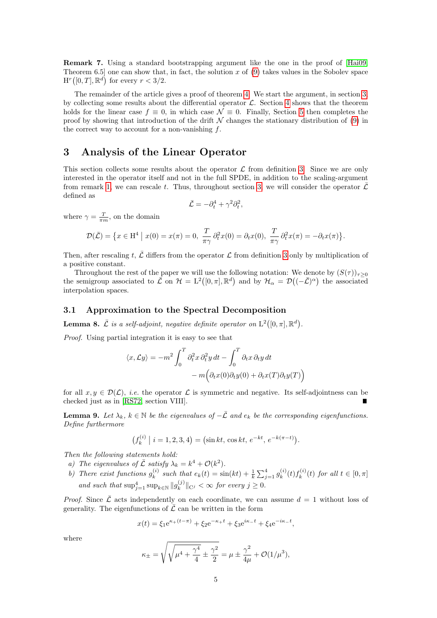Remark 7. Using a standard bootstrapping argument like the one in the proof of [\[Hai09,](#page-20-10) Theorem 6.5] one can show that, in fact, the solution x of [\(9\)](#page-3-2) takes values in the Sobolev space  $H^r([0,T], \mathbb{R}^d)$  for every  $r < 3/2$ .

The remainder of the article gives a proof of theorem [4.](#page-3-0) We start the argument, in section [3,](#page-4-0) by collecting some results about the differential operator  $\mathcal{L}$ . Section [4](#page-10-0) shows that the theorem holds for the linear case  $f \equiv 0$ , in which case  $\mathcal{N} \equiv 0$ . Finally, Section [5](#page-12-0) then completes the proof by showing that introduction of the drift  $\mathcal N$  changes the stationary distribution of [\(9\)](#page-3-2) in the correct way to account for a non-vanishing f.

# <span id="page-4-0"></span>3 Analysis of the Linear Operator

This section collects some results about the operator  $\mathcal L$  from definition [3.](#page-3-1) Since we are only interested in the operator itself and not in the full SPDE, in addition to the scaling-argument from remark [1,](#page-2-4) we can rescale t. Thus, throughout section [3,](#page-4-0) we will consider the operator  $\mathcal L$ defined as

$$
\bar{\mathcal{L}} = -\partial_t^4 + \gamma^2 \partial_t^2,
$$

where  $\gamma = \frac{T}{\pi m}$ , on the domain

$$
\mathcal{D}(\bar{\mathcal{L}}) = \left\{ x \in \mathcal{H}^4 \mid x(0) = x(\pi) = 0, \ \frac{T}{\pi \gamma} \partial_t^2 x(0) = \partial_t x(0), \ \frac{T}{\pi \gamma} \partial_t^2 x(\pi) = -\partial_t x(\pi) \right\}.
$$

Then, after rescaling t,  $\bar{\mathcal{L}}$  differs from the operator  $\mathcal{L}$  from definition [3](#page-3-1) only by multiplication of a positive constant.

Throughout the rest of the paper we will use the following notation: We denote by  $(S(\tau))_{\tau>0}$ the semigroup associated to  $\mathcal{\vec{L}}$  on  $\mathcal{H} = L^2([0,\pi],\mathbb{R}^d)$  and by  $\mathcal{H}_{\alpha} = \mathcal{D}((-\mathcal{\vec{L}})^{\alpha})$  the associated interpolation spaces.

#### 3.1 Approximation to the Spectral Decomposition

**Lemma 8.**  $\bar{\mathcal{L}}$  is a self-adjoint, negative definite operator on  $\mathrm{L}^2([0,\pi],\mathbb{R}^d)$ .

Proof. Using partial integration it is easy to see that

$$
\langle x, \mathcal{L}y \rangle = -m^2 \int_0^T \partial_t^2 x \, \partial_t^2 y \, dt - \int_0^T \partial_t x \, \partial_t y \, dt
$$

$$
-m \Big( \partial_t x(0) \partial_t y(0) + \partial_t x(T) \partial_t y(T) \Big)
$$

for all  $x, y \in \mathcal{D}(\mathcal{L})$ , *i.e.* the operator  $\mathcal L$  is symmetric and negative. Its self-adjointness can be checked just as in [\[RS72,](#page-20-11) section VIII].

<span id="page-4-1"></span>**Lemma 9.** Let  $\lambda_k$ ,  $k \in \mathbb{N}$  be the eigenvalues of  $-\overline{\mathcal{L}}$  and  $e_k$  be the corresponding eigenfunctions. Define furthermore

$$
(f_k^{(i)} | i = 1, 2, 3, 4) = (\sin kt, \cos kt, e^{-kt}, e^{-k(\pi - t)}).
$$

Then the following statements hold:

- a) The eigenvalues of  $\bar{\mathcal{L}}$  satisfy  $\lambda_k = k^4 + \mathcal{O}(k^2)$ .
- b) There exist functions  $g_k^{(i)}$  $k_k^{(i)}$  such that  $e_k(t) = \sin(kt) + \frac{1}{k} \sum_{j=1}^4 g_k^{(i)}$  $g_k^{(i)}(t) f_k^{(i)}$  $f_k^{(i)}(t)$  for all  $t \in [0, \pi]$ and such that  $\sup_{j=1}^4 \sup_{k \in \mathbb{N}} ||g_k^{(j)}||$  $\|e_k^{(j)}\|_{\mathbf{C}^j}<\infty$  for every  $j\geq 0$ .

*Proof.* Since  $\mathcal L$  acts independently on each coordinate, we can assume  $d = 1$  without loss of generality. The eigenfunctions of  $\overline{\mathcal{L}}$  can be written in the form

$$
x(t) = \xi_1 e^{\kappa + (t - \pi)} + \xi_2 e^{-\kappa + t} + \xi_3 e^{i\kappa - t} + \xi_4 e^{-i\kappa - t},
$$

where

$$
\kappa_{\pm} = \sqrt{\sqrt{\mu^4 + \frac{\gamma^4}{4}} \pm \frac{\gamma^2}{2}} = \mu \pm \frac{\gamma^2}{4\mu} + \mathcal{O}(1/\mu^3),
$$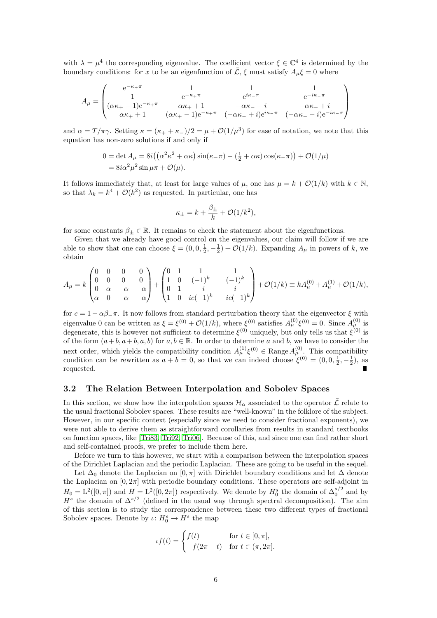with  $\lambda = \mu^4$  the corresponding eigenvalue. The coefficient vector  $\xi \in \mathbb{C}^4$  is determined by the boundary conditions: for x to be an eigenfunction of  $\bar{\mathcal{L}}, \xi$  must satisfy  $A_{\mu}\xi = 0$  where

$$
A_{\mu} = \begin{pmatrix} e^{-\kappa_{+}\pi} & 1 & 1 & 1 \ 1 & e^{-\kappa_{+}\pi} & e^{i\kappa_{-}\pi} & e^{-i\kappa_{-}\pi} \ ( \alpha\kappa_{+}-1) e^{-\kappa_{+}\pi} & \alpha\kappa_{+}+1 & -\alpha\kappa_{-}-i & -\alpha\kappa_{-}+i \ \alpha\kappa_{+}+1 & (\alpha\kappa_{+}-1) e^{-\kappa_{+}\pi} & (-\alpha\kappa_{-}+i) e^{i\kappa_{-}\pi} & (-\alpha\kappa_{-}-i) e^{-i\kappa_{-}\pi} \end{pmatrix}
$$

and  $\alpha = T/\pi \gamma$ . Setting  $\kappa = (\kappa_+ + \kappa_-)/2 = \mu + \mathcal{O}(1/\mu^3)$  for ease of notation, we note that this equation has non-zero solutions if and only if

$$
0 = \det A_{\mu} = 8i\left(\left(\alpha^2 \kappa^2 + \alpha \kappa\right) \sin(\kappa_-\pi) - \left(\frac{1}{2} + \alpha \kappa\right) \cos(\kappa_-\pi)\right) + \mathcal{O}(1/\mu)
$$
  
=  $8i\alpha^2 \mu^2 \sin \mu\pi + \mathcal{O}(\mu).$ 

It follows immediately that, at least for large values of  $\mu$ , one has  $\mu = k + \mathcal{O}(1/k)$  with  $k \in \mathbb{N}$ , so that  $\lambda_k = k^4 + \mathcal{O}(k^2)$  as requested. In particular, one has

$$
\kappa_{\pm} = k + \frac{\beta_{\pm}}{k} + \mathcal{O}(1/k^2),
$$

for some constants  $\beta_+ \in \mathbb{R}$ . It remains to check the statement about the eigenfunctions.

Given that we already have good control on the eigenvalues, our claim will follow if we are able to show that one can choose  $\xi = (0, 0, \frac{1}{2}, -\frac{1}{2}) + \mathcal{O}(1/k)$ . Expanding  $A_{\mu}$  in powers of k, we obtain

$$
A_{\mu} = k \begin{pmatrix} 0 & 0 & 0 & 0 \\ 0 & 0 & 0 & 0 \\ 0 & \alpha & -\alpha & -\alpha \\ \alpha & 0 & -\alpha & -\alpha \end{pmatrix} + \begin{pmatrix} 0 & 1 & 1 & 1 \\ 1 & 0 & (-1)^k & (-1)^k \\ 0 & 1 & -i & i \\ 1 & 0 & ic(-1)^k & -ic(-1)^k \end{pmatrix} + \mathcal{O}(1/k) \equiv k A_{\mu}^{(0)} + A_{\mu}^{(1)} + \mathcal{O}(1/k),
$$

for  $c = 1 - \alpha \beta_{\alpha} \pi$ . It now follows from standard perturbation theory that the eigenvector  $\xi$  with eigenvalue 0 can be written as  $\xi = \xi^{(0)} + \mathcal{O}(1/k)$ , where  $\xi^{(0)}$  satisfies  $A_{\mu}^{(0)}\xi^{(0)} = 0$ . Since  $A_{\mu}^{(0)}$  is degenerate, this is however not sufficient to determine  $\xi^{(0)}$  uniquely, but only tells us that  $\xi^{(0)}$  is of the form  $(a + b, a + b, a, b)$  for  $a, b \in \mathbb{R}$ . In order to determine a and b, we have to consider the next order, which yields the compatibility condition  $A^{(1)}_\mu \xi^{(0)} \in \text{Range } A^{(0)}_\mu$ . This compatibility condition can be rewritten as  $a + b = 0$ , so that we can indeed choose  $\xi^{(0)} = (0, 0, \frac{1}{2}, -\frac{1}{2})$ , as requested.

#### 3.2 The Relation Between Interpolation and Sobolev Spaces

In this section, we show how the interpolation spaces  $\mathcal{H}_{\alpha}$  associated to the operator  $\bar{\mathcal{L}}$  relate to the usual fractional Sobolev spaces. These results are "well-known" in the folklore of the subject. However, in our specific context (especially since we need to consider fractional exponents), we were not able to derive them as straightforward corollaries from results in standard textbooks on function spaces, like [\[Tri83,](#page-20-12) [Tri92,](#page-20-13) [Tri06\]](#page-20-14). Because of this, and since one can find rather short and self-contained proofs, we prefer to include them here.

Before we turn to this however, we start with a comparison between the interpolation spaces of the Dirichlet Laplacian and the periodic Laplacian. These are going to be useful in the sequel.

Let  $\Delta_0$  denote the Laplacian on  $[0, \pi]$  with Dirichlet boundary conditions and let  $\Delta$  denote the Laplacian on  $[0, 2\pi]$  with periodic boundary conditions. These operators are self-adjoint in  $H_0 = L^2([0, \pi])$  and  $H = L^2([0, 2\pi])$  respectively. We denote by  $H_0^s$  the domain of  $\Delta_0^{s/2}$  and by  $H<sup>s</sup>$  the domain of  $\Delta^{s/2}$  (defined in the usual way through spectral decomposition). The aim of this section is to study the correspondence between these two different types of fractional Sobolev spaces. Denote by  $\iota: H_0^s \to H^s$  the map

$$
tf(t) = \begin{cases} f(t) & \text{for } t \in [0, \pi], \\ -f(2\pi - t) & \text{for } t \in (\pi, 2\pi]. \end{cases}
$$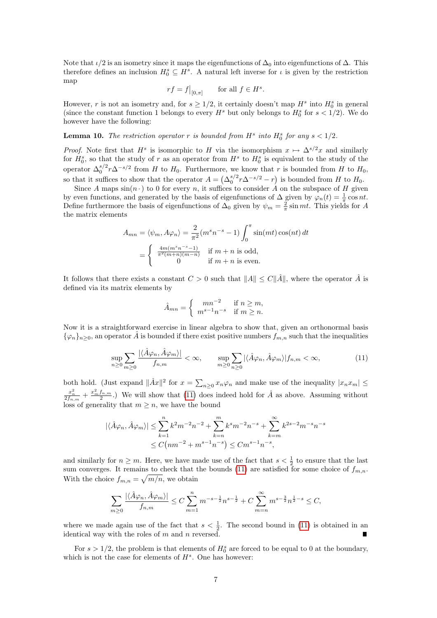Note that  $\iota/2$  is an isometry since it maps the eigenfunctions of  $\Delta_0$  into eigenfunctions of  $\Delta$ . This therefore defines an inclusion  $H_0^s \subseteq H^s$ . A natural left inverse for  $\iota$  is given by the restriction map

$$
rf = f|_{[0,\pi]}
$$
 for all  $f \in H^s$ .

However, r is not an isometry and, for  $s \geq 1/2$ , it certainly doesn't map  $H^s$  into  $H_0^s$  in general (since the constant function 1 belongs to every  $H^s$  but only belongs to  $H_0^s$  for  $s < 1/2$ ). We do however have the following:

## **Lemma 10.** The restriction operator r is bounded from  $H^s$  into  $H_0^s$  for any  $s < 1/2$ .

*Proof.* Note first that  $H^s$  is isomorphic to H via the isomorphism  $x \mapsto \Delta^{s/2} x$  and similarly for  $H_0^s$ , so that the study of r as an operator from  $H^s$  to  $H_0^s$  is equivalent to the study of the operator  $\Delta_0^{s/2} r \Delta^{-s/2}$  from H to  $H_0$ . Furthermore, we know that r is bounded from H to  $H_0$ , so that it suffices to show that the operator  $A = (\Delta_0^{s/2} r \Delta^{-s/2} - r)$  is bounded from H to  $H_0$ .

Since A maps  $sin(n \cdot)$  to 0 for every n, it suffices to consider A on the subspace of H given by even functions, and generated by the basis of eigenfunctions of  $\Delta$  given by  $\varphi_n(t) = \frac{1}{\pi} \cos nt$ . Define furthermore the basis of eigenfunctions of  $\Delta_0$  given by  $\psi_m = \frac{2}{\pi} \sin mt$ . This yields for A the matrix elements

$$
A_{mn} = \langle \psi_m, A\varphi_n \rangle = \frac{2}{\pi^2} (m^s n^{-s} - 1) \int_0^{\pi} \sin(mt) \cos(nt) dt
$$
  
= 
$$
\begin{cases} \frac{4m(m^s n^{-s} - 1)}{\pi^2 (m+n)(m-n)} & \text{if } m+n \text{ is odd,} \\ 0 & \text{if } m+n \text{ is even.} \end{cases}
$$

It follows that there exists a constant  $C > 0$  such that  $||A|| \leq C||\hat{A}||$ , where the operator  $\hat{A}$  is defined via its matrix elements by

<span id="page-6-0"></span>
$$
\hat{A}_{mn} = \begin{cases} mn^{-2} & \text{if } n \ge m, \\ m^{s-1}n^{-s} & \text{if } m \ge n. \end{cases}
$$

Now it is a straightforward exercise in linear algebra to show that, given an orthonormal basis  ${\varphi_n}_{n\geq 0}$ , an operator  $\hat{A}$  is bounded if there exist positive numbers  $f_{m,n}$  such that the inequalities

$$
\sup_{n\geq 0} \sum_{m\geq 0} \frac{|\langle \hat{A}\varphi_n, \hat{A}\varphi_m \rangle|}{f_{n,m}} < \infty, \qquad \sup_{m\geq 0} \sum_{n\geq 0} |\langle \hat{A}\varphi_n, \hat{A}\varphi_m \rangle| f_{n,m} < \infty,\tag{11}
$$

both hold. (Just expand  $\|\hat{A}x\|^2$  for  $x = \sum_{n\geq 0} x_n\varphi_n$  and make use of the inequality  $|x_n x_m| \leq$  $\frac{x_n^2}{2f_{n,m}} + \frac{x_m^2 f_{n,m}}{2}$ .) We will show that [\(11\)](#page-6-0) does indeed hold for  $\hat{A}$  as above. Assuming without loss of generality that  $m \geq n$ , we have the bound

$$
|\langle \hat{A}\varphi_n, \hat{A}\varphi_m \rangle| \le \sum_{k=1}^n k^2 m^{-2} n^{-2} + \sum_{k=n}^m k^s m^{-2} n^{-s} + \sum_{k=m}^\infty k^{2s-2} m^{-s} n^{-s}
$$
  

$$
\le C(nm^{-2} + m^{s-1} n^{-s}) \le Cm^{s-1} n^{-s},
$$

and similarly for  $n \geq m$ . Here, we have made use of the fact that  $s < \frac{1}{2}$  to ensure that the last sum converges. It remains to check that the bounds [\(11\)](#page-6-0) are satisfied for some choice of  $f_{m,n}$ . With the choice  $f_{m,n} = \sqrt{m/n}$ , we obtain

$$
\sum_{m\geq 0} \frac{|\langle \hat{A}\varphi_n, \hat{A}\varphi_m \rangle|}{f_{n,m}} \leq C \sum_{m=1}^n m^{-s-\frac{1}{2}} n^{s-\frac{1}{2}} + C \sum_{m=n}^\infty m^{s-\frac{3}{2}} n^{\frac{1}{2}-s} \leq C,
$$

where we made again use of the fact that  $s < \frac{1}{2}$ . The second bound in [\(11\)](#page-6-0) is obtained in an identical way with the roles of  $m$  and  $n$  reversed.

For  $s > 1/2$ , the problem is that elements of  $H_0^s$  are forced to be equal to 0 at the boundary, which is not the case for elements of  $H<sup>s</sup>$ . One has however: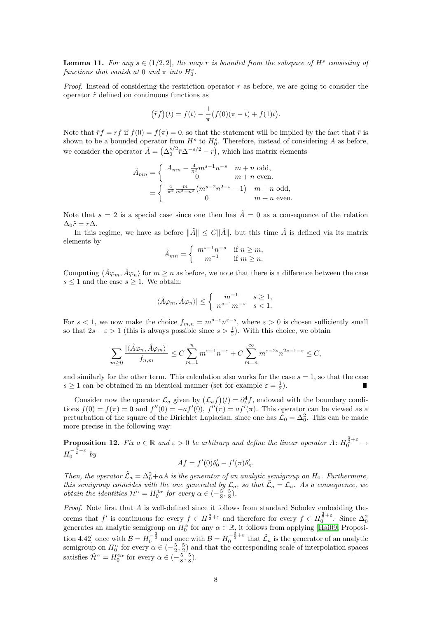**Lemma 11.** For any  $s \in (1/2, 2]$ , the map r is bounded from the subspace of  $H^s$  consisting of functions that vanish at 0 and  $\pi$  into  $H_0^s$ .

*Proof.* Instead of considering the restriction operator r as before, we are going to consider the operator  $\tilde{r}$  defined on continuous functions as

$$
(\tilde{r}f)(t) = f(t) - \frac{1}{\pi} (f(0)(\pi - t) + f(1)t).
$$

Note that  $\tilde{r}f = rf$  if  $f(0) = f(\pi) = 0$ , so that the statement will be implied by the fact that  $\tilde{r}$  is shown to be a bounded operator from  $H^s$  to  $H_0^s$ . Therefore, instead of considering A as before, we consider the operator  $\tilde{A} = (\Delta_0^{s/2} \tilde{r} \Delta^{-s/2} - r)$ , which has matrix elements

$$
\tilde{A}_{mn} = \begin{cases}\nA_{mn} - \frac{4}{\pi^2} m^{s-1} n^{-s} & m+n \text{ odd}, \\
0 & m+n \text{ even}.\n\end{cases}
$$
\n
$$
= \begin{cases}\n\frac{4}{\pi^2} \frac{m}{m^2 - n^2} (m^{s-2} n^{2-s} - 1) & m+n \text{ odd}, \\
0 & m+n \text{ even}.\n\end{cases}
$$

Note that  $s = 2$  is a special case since one then has  $\tilde{A} = 0$  as a consequence of the relation  $\Delta_0 \tilde{r} = r \Delta$ .

In this regime, we have as before  $\|\tilde{A}\| \leq C\|\hat{A}\|$ , but this time  $\hat{A}$  is defined via its matrix elements by

$$
\hat{A}_{mn} = \begin{cases} m^{s-1}n^{-s} & \text{if } n \ge m, \\ m^{-1} & \text{if } m \ge n. \end{cases}
$$

Computing  $\langle \hat{A}\varphi_m, \hat{A}\varphi_n \rangle$  for  $m \geq n$  as before, we note that there is a difference between the case  $s \leq 1$  and the case  $s \geq 1$ . We obtain:

$$
|\langle \hat{A}\varphi_m, \hat{A}\varphi_n \rangle| \le \left\{ \begin{array}{ll} m^{-1} & s \ge 1, \\ n^{s-1}m^{-s} & s < 1. \end{array} \right.
$$

For  $s < 1$ , we now make the choice  $f_{m,n} = m^{s-\epsilon} n^{\epsilon-s}$ , where  $\epsilon > 0$  is chosen sufficiently small so that  $2s - \varepsilon > 1$  (this is always possible since  $s > \frac{1}{2}$ ). With this choice, we obtain

$$
\sum_{m\geq 0} \frac{|\langle \hat{A}\varphi_n, \hat{A}\varphi_m \rangle|}{f_{n,m}} \leq C \sum_{m=1}^n m^{\varepsilon-1} n^{-\varepsilon} + C \sum_{m=n}^\infty m^{\varepsilon-2s} n^{2s-1-\varepsilon} \leq C,
$$

and similarly for the other term. This calculation also works for the case  $s = 1$ , so that the case  $s \geq 1$  can be obtained in an identical manner (set for example  $\varepsilon = \frac{1}{2}$ ).

Consider now the operator  $\mathcal{L}_a$  given by  $(\mathcal{L}_a f)(t) = \partial_t^4 f$ , endowed with the boundary conditions  $f(0) = f(\pi) = 0$  and  $f''(0) = -af'(0)$ ,  $f''(\pi) = af'(\pi)$ . This operator can be viewed as a perturbation of the square of the Dirichlet Laplacian, since one has  $\mathcal{L}_0 = \Delta_0^2$ . This can be made more precise in the following way:

**Proposition 12.** Fix  $a \in \mathbb{R}$  and  $\varepsilon > 0$  be arbitrary and define the linear operator  $A: H_0^{\frac{3}{2}+\varepsilon} \to$  $H_0^{-\frac{3}{2}-\varepsilon}$  by

$$
Af = f'(0)\delta'_0 - f'(\pi)\delta'_\pi.
$$

Then, the operator  $\tilde{\mathcal{L}}_a = \Delta_0^2 + aA$  is the generator of an analytic semigroup on  $H_0$ . Furthermore, this semigroup coincides with the one generated by  $\mathcal{L}_a$ , so that  $\tilde{\mathcal{L}}_a = \mathcal{L}_a$ . As a consequence, we *obtain the identities*  $\mathcal{H}^{\alpha} = H_0^{4\alpha}$  *for every*  $\alpha \in (-\frac{5}{8}, \frac{5}{8})$ *.* 

Proof. Note first that A is well-defined since it follows from standard Sobolev embedding theorems that f' is continuous for every  $f \in H^{\frac{3}{2}+\varepsilon}$  and therefore for every  $f \in H_0^{\frac{3}{2}+\varepsilon}$ . Since  $\Delta_0^2$ generates an analytic semigroup on  $H_0^{\alpha}$  for any  $\alpha \in \mathbb{R}$ , it follows from applying [\[Hai09,](#page-20-10) Proposition 4.42] once with  $\mathcal{B} = H_0^{-\frac{3}{2}}$  and once with  $\mathcal{B} = H_0^{-\frac{5}{2} + \varepsilon}$  that  $\tilde{\mathcal{L}}_a$  is the generator of an analytic semigroup on  $H_0^{\alpha}$  for every  $\alpha \in (-\frac{5}{2}, \frac{5}{2})$  and that the corresponding scale of interpolation spaces satisfies  $\tilde{\mathcal{H}}^{\alpha} = H_0^{4\alpha}$  for every  $\alpha \in (-\frac{5}{8}, \frac{5}{8}).$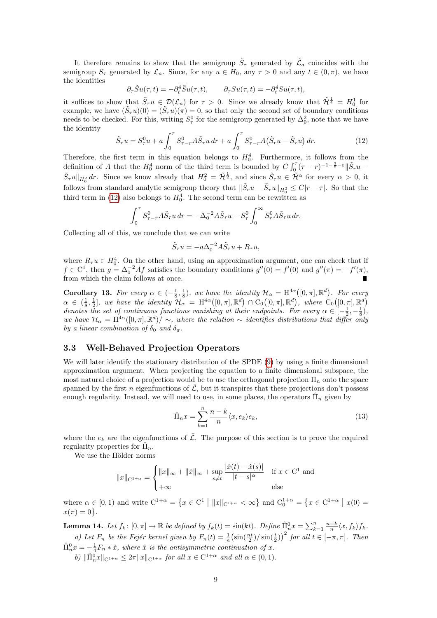It therefore remains to show that the semigroup  $\tilde{S}_{\tau}$  generated by  $\tilde{\mathcal{L}}_a$  coincides with the semigroup  $S_{\tau}$  generated by  $\mathcal{L}_{a}$ . Since, for any  $u \in H_0$ , any  $\tau > 0$  and any  $t \in (0, \pi)$ , we have the identities

$$
\partial_\tau \tilde{S} u(\tau,t) = -\partial_t^4 \tilde{S} u(\tau,t), \qquad \partial_\tau S u(\tau,t) = -\partial_t^4 S u(\tau,t),
$$

it suffices to show that  $\tilde{S}_{\tau}u \in \mathcal{D}(\mathcal{L}_a)$  for  $\tau > 0$ . Since we already know that  $\tilde{\mathcal{H}}^{\frac{1}{4}} = H_0^1$  for example, we have  $(\tilde{S}_{\tau}u)(0) = (\tilde{S}_{\tau}u)(\pi) = 0$ , so that only the second set of boundary conditions needs to be checked. For this, writing  $S_{\tau}^{0}$  for the semigroup generated by  $\Delta_{0}^{2}$ , note that we have the identity

$$
\tilde{S}_{\tau}u = S_{\tau}^{0}u + a \int_{0}^{\tau} S_{\tau-r}^{0} A \tilde{S}_{\tau} u dr + a \int_{0}^{\tau} S_{\tau-r}^{0} A(\tilde{S}_{r}u - \tilde{S}_{\tau}u) dr.
$$
 (12)

Therefore, the first term in this equation belongs to  $H_0^4$ . Furthermore, it follows from the definition of A that the  $H_0^4$  norm of the third term is bounded by  $C \int_0^{\tau} (\tau - r)^{-1-\frac{3}{8}-\varepsilon} \|\tilde{S}_r u \tilde{S}_{\tau}u\|_{H_0^2}$  dr. Since we know already that  $H_0^2 = \tilde{\mathcal{H}}^{\frac{1}{2}}$ , and since  $\tilde{S}_{\tau}u \in \tilde{\mathcal{H}}^{\alpha}$  for every  $\alpha > 0$ , it follows from standard analytic semigroup theory that  $\|\tilde{S}_r u - \tilde{S}_\tau u\|_{H_0^2} \leq C|r - \tau|$ . So that the third term in [\(12\)](#page-8-0) also belongs to  $H_0^4$ . The second term can be rewritten as

$$
\int_0^{\tau} S^0_{\tau-r} A \tilde{S}_{\tau} u dr = -\Delta_0^{-2} A \tilde{S}_{\tau} u - S^0_{\tau} \int_0^{\infty} S^0_{r} A \tilde{S}_{\tau} u dr.
$$

Collecting all of this, we conclude that we can write

<span id="page-8-0"></span>
$$
\tilde{S}_{\tau}u = -a\Delta_0^{-2}A\tilde{S}_{\tau}u + R_{\tau}u,
$$

where  $R_{\tau}u \in H_0^4$ . On the other hand, using an approximation argument, one can check that if  $f \in C^1$ , then  $g = \Delta_0^{-2} Af$  satisfies the boundary conditions  $g''(0) = f'(0)$  and  $g''(\pi) = -f'(\pi)$ , from which the claim follows at once.

<span id="page-8-2"></span>**Corollary 13.** For every  $\alpha \in (-\frac{1}{8}, \frac{1}{8})$ , we have the identity  $\mathcal{H}_{\alpha} = H^{4\alpha}([0, \pi], \mathbb{R}^d)$ . For every  $\alpha \in (\frac{1}{8},\frac{1}{2}],$  we have the identity  $\mathcal{H}_\alpha = \mathrm{H}^{4\alpha}([0,\pi],\mathbb{R}^d) \cap \mathrm{C}_0([0,\pi],\mathbb{R}^d),$  where  $\mathrm{C}_0([0,\pi],\mathbb{R}^d)$ denotes the set of continuous functions vanishing at their endpoints. For every  $\alpha \in \left[-\frac{1}{2}, -\frac{1}{8}\right)$ , we have  $\mathcal{H}_{\alpha} = \text{H}^{4\alpha}([0,\pi],\mathbb{R}^d)/\sim$ , where the relation  $\sim$  identifies distributions that differ only by a linear combination of  $\delta_0$  and  $\delta_{\pi}$ .

#### 3.3 Well-Behaved Projection Operators

We will later identify the stationary distribution of the SPDE [\(9\)](#page-3-2) by using a finite dimensional approximation argument. When projecting the equation to a finite dimensional subspace, the most natural choice of a projection would be to use the orthogonal projection  $\Pi_n$  onto the space spanned by the first n eigenfunctions of  $\overline{\mathcal{L}}$ , but it transpires that these projections don't possess enough regularity. Instead, we will need to use, in some places, the operators  $\hat{\Pi}_n$  given by

<span id="page-8-1"></span>
$$
\hat{\Pi}_n x = \sum_{k=1}^n \frac{n-k}{n} \langle x, e_k \rangle e_k,\tag{13}
$$

where the  $e_k$  are the eigenfunctions of  $\overline{L}$ . The purpose of this section is to prove the required regularity properties for  $\hat{\Pi}_n$ .

We use the Hölder norms

$$
||x||_{\mathcal{C}^{1+\alpha}} = \begin{cases} ||x||_{\infty} + ||\dot{x}||_{\infty} + \sup_{s \neq t} \frac{|\dot{x}(t) - \dot{x}(s)|}{|t - s|^{\alpha}} & \text{if } x \in \mathcal{C}^{1} \text{ and} \\ +\infty & \text{else} \end{cases}
$$

where  $\alpha \in [0,1)$  and write  $C^{1+\alpha} = \{x \in C^1 \mid ||x||_{C^{1+\alpha}} < \infty\}$  and  $C_0^{1+\alpha} = \{x \in C^{1+\alpha} \mid x(0) =$  $x(\pi) = 0$ .

**Lemma 14.** Let  $f_k$ :  $[0, \pi] \to \mathbb{R}$  be defined by  $f_k(t) = \sin(kt)$ . Define  $\hat{\Pi}_n^0 x = \sum_{k=1}^n \frac{n-k}{n} \langle x, f_k \rangle f_k$ . a) Let  $F_n$  be the Fejér kernel given by  $F_n(t) = \frac{1}{n} \left(\sin(\frac{nt}{2}) / \sin(\frac{t}{2})\right)^2$  for all  $t \in [-\pi, \pi]$ . Then

 $\hat{\Pi}_n^0 x = -\frac{1}{4} F_n * \tilde{x}$ , where  $\tilde{x}$  is the antisymmetric continuation of x.

b)  $\|\hat{\Pi}_n^0 x\|_{\mathcal{C}^{1+\alpha}} \leq 2\pi \|x\|_{\mathcal{C}^{1+\alpha}}$  for all  $x \in \mathcal{C}^{1+\alpha}$  and all  $\alpha \in (0,1)$ .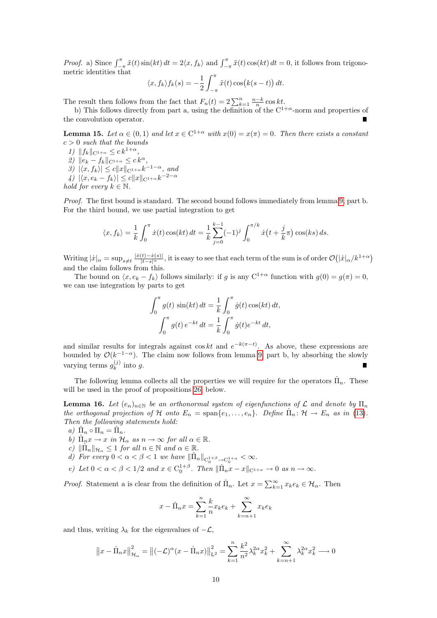*Proof.* a) Since  $\int_{-\pi}^{\pi} \tilde{x}(t) \sin(kt) dt = 2\langle x, f_k \rangle$  and  $\int_{-\pi}^{\pi} \tilde{x}(t) \cos(kt) dt = 0$ , it follows from trigonometric identities that

$$
\langle x, f_k \rangle f_k(s) = -\frac{1}{2} \int_{-\pi}^{\pi} \tilde{x}(t) \cos(k(s-t)) dt.
$$

The result then follows from the fact that  $F_n(t) = 2\sum_{k=1}^n \frac{n-k}{n} \cos kt$ .

b) This follows directly from part a, using the definition of the  $C^{1+\alpha}$ -norm and properties of the convolution operator.

<span id="page-9-0"></span>**Lemma 15.** Let  $\alpha \in (0,1)$  and let  $x \in C^{1+\alpha}$  with  $x(0) = x(\pi) = 0$ . Then there exists a constant  $c > 0$  such that the bounds

1)  $||f_k||_{C^{1+\alpha}} \leq c k^{1+\alpha}$ , 2)  $\|e_k - f_k\|_{\mathbf{C}^{1+\alpha}} \leq c k^{\alpha},$ 

3)  $|\langle x, f_k \rangle| \le c ||x||_{\mathbf{C}^{1+\alpha}} k^{-1-\alpha},$  and

4)  $|\langle x, e_k - f_k \rangle| \le c ||x||_{\mathbf{C}^{1+\alpha}} k^{-2-\alpha}$ 

hold for every  $k \in \mathbb{N}$ .

Proof. The first bound is standard. The second bound follows immediately from lemma [9,](#page-4-1) part b. For the third bound, we use partial integration to get

$$
\langle x, f_k \rangle = \frac{1}{k} \int_0^{\pi} \dot{x}(t) \cos(kt) dt = \frac{1}{k} \sum_{j=0}^{k-1} (-1)^j \int_0^{\pi/k} \dot{x}(t + \frac{j}{k}\pi) \cos(ks) ds.
$$

Writing  $|x|_{\alpha} = \sup_{s \neq t} \frac{|x(t) - \dot{x}(s)|}{|t - s|^{\alpha}}$ , it is easy to see that each term of the sum is of order  $\mathcal{O}(|x|_{\alpha}/k^{1+\alpha})$ and the claim follows from this.

The bound on  $\langle x, e_k - f_k \rangle$  follows similarly: if g is any C<sup>1+α</sup> function with  $g(0) = g(\pi) = 0$ , we can use integration by parts to get

$$
\int_0^{\pi} g(t) \sin(kt) dt = \frac{1}{k} \int_0^{\pi} \dot{g}(t) \cos(kt) dt,
$$

$$
\int_0^{\pi} g(t) e^{-kt} dt = \frac{1}{k} \int_0^{\pi} \dot{g}(t) e^{-kt} dt,
$$

and similar results for integrals against cos kt and  $e^{-k(\pi-t)}$ . As above, these expressions are bounded by  $\mathcal{O}(k^{-1-\alpha})$ . The claim now follows from lemma [9,](#page-4-1) part b, by absorbing the slowly varying terms  $g_k^{(j)}$  $\int_k^{(J)}$  into g.

The following lemma collects all the properties we will require for the operators  $\hat{\Pi}_n$ . These will be used in the proof of propositions [26,](#page-17-0) below.

<span id="page-9-1"></span>**Lemma 16.** Let  $(e_n)_{n\in\mathbb{N}}$  be an orthonormal system of eigenfunctions of  $\mathcal L$  and denote by  $\Pi_n$ the orthogonal projection of H onto  $E_n = \text{span}\{e_1, \ldots, e_n\}$ . Define  $\hat{\Pi}_n: \mathcal{H} \to E_n$  as in [\(13\)](#page-8-1). Then the following statements hold:

- a)  $\hat{\Pi}_n \circ \Pi_n = \hat{\Pi}_n$ .
- b)  $\hat{\Pi}_n x \to x$  in  $\mathcal{H}_\alpha$  as  $n \to \infty$  for all  $\alpha \in \mathbb{R}$ .
- c)  $\|\hat{\Pi}_n\|_{\mathcal{H}_\alpha} \leq 1$  for all  $n \in \mathbb{N}$  and  $\alpha \in \mathbb{R}$ .
- d) For every  $0 < \alpha < \beta < 1$  we have  $\|\hat{\Pi}_n\|_{C_0^{1+\beta} \to C_0^{1+\alpha}} < \infty$ .
- e) Let  $0 < \alpha < \beta < 1/2$  and  $x \in C_0^{1+\beta}$ . Then  $\|\hat{\Pi}_n x x\|_{C^{1+\alpha}} \to 0$  as  $n \to \infty$ .

*Proof.* Statement a is clear from the definition of  $\hat{\Pi}_n$ . Let  $x = \sum_{k=1}^{\infty} x_k e_k \in \mathcal{H}_{\alpha}$ . Then

$$
x - \hat{\Pi}_n x = \sum_{k=1}^n \frac{k}{n} x_k e_k + \sum_{k=n+1}^\infty x_k e_k
$$

and thus, writing  $\lambda_k$  for the eigenvalues of  $-\mathcal{L}$ ,

$$
\left\|x - \hat{\Pi}_n x\right\|_{\mathcal{H}_{\alpha}}^2 = \left\|(-\mathcal{L})^{\alpha}(x - \hat{\Pi}_n x)\right\|_{\mathcal{L}^2}^2 = \sum_{k=1}^n \frac{k^2}{n^2} \lambda_k^{2\alpha} x_k^2 + \sum_{k=n+1}^\infty \lambda_k^{2\alpha} x_k^2 \longrightarrow 0
$$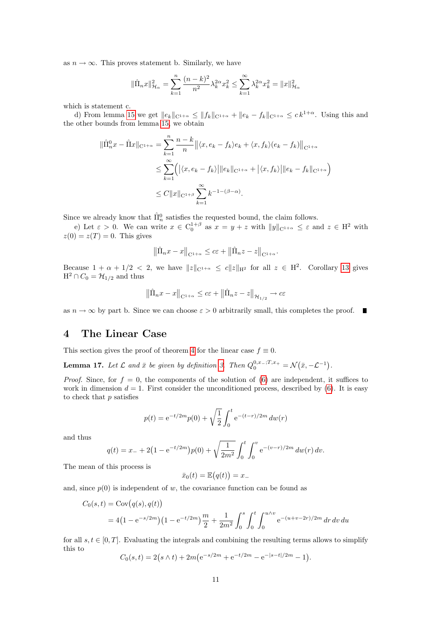as  $n \to \infty$ . This proves statement b. Similarly, we have

$$
\|\hat{\Pi}_n x\|_{\mathcal{H}_\alpha}^2 = \sum_{k=1}^n \frac{(n-k)^2}{n^2} \lambda_k^{2\alpha} x_k^2 \le \sum_{k=1}^\infty \lambda_k^{2\alpha} x_k^2 = \|x\|_{\mathcal{H}_\alpha}^2
$$

which is statement c.

d) From lemma [15](#page-9-0) we get  $||e_k||_{C^{1+\alpha}} \le ||f_k||_{C^{1+\alpha}} + ||e_k - f_k||_{C^{1+\alpha}} \le ck^{1+\alpha}$ . Using this and the other bounds from lemma [15,](#page-9-0) we obtain

$$
\|\hat{\Pi}_n^0 x - \hat{\Pi} x\|_{\mathcal{C}^{1+\alpha}} = \sum_{k=1}^n \frac{n-k}{n} \left\| \langle x, e_k - f_k \rangle e_k + \langle x, f_k \rangle (e_k - f_k) \right\|_{\mathcal{C}^{1+\alpha}}
$$
  

$$
\leq \sum_{k=1}^\infty \left( \left| \langle x, e_k - f_k \rangle \right| \|e_k\|_{\mathcal{C}^{1+\alpha}} + \left| \langle x, f_k \rangle \right| \|e_k - f_k\|_{\mathcal{C}^{1+\alpha}} \right)
$$
  

$$
\leq C \|x\|_{\mathcal{C}^{1+\beta}} \sum_{k=1}^\infty k^{-1-(\beta-\alpha)}.
$$

Since we already know that  $\hat{\Pi}_n^0$  satisfies the requested bound, the claim follows.

e) Let  $\varepsilon > 0$ . We can write  $x \in C_0^{1+\beta}$  as  $x = y + z$  with  $||y||_{C^{1+\alpha}} \leq \varepsilon$  and  $z \in H^2$  with  $z(0) = z(T) = 0$ . This gives

$$
\left\|\hat{\Pi}_n x - x\right\|_{\mathcal{C}^{1+\alpha}} \leq c\varepsilon + \left\|\hat{\Pi}_n z - z\right\|_{\mathcal{C}^{1+\alpha}}.
$$

Because  $1 + \alpha + 1/2 < 2$ , we have  $||z||_{\mathbb{C}^{1+\alpha}} \leq c||z||_{\mathbb{H}^2}$  for all  $z \in \mathbb{H}^2$ . Corollary [13](#page-8-2) gives  $H^2 \cap C_0 = \mathcal{H}_{1/2}$  and thus

$$
\left\| \hat{\Pi}_n x - x \right\|_{\mathcal{C}^{1+\alpha}} \leq c\varepsilon + \left\| \hat{\Pi}_n z - z \right\|_{\mathcal{H}_{1/2}} \to c\varepsilon
$$

as  $n \to \infty$  by part b. Since we can choose  $\varepsilon > 0$  arbitrarily small, this completes the proof.

# <span id="page-10-0"></span>4 The Linear Case

This section gives the proof of theorem [4](#page-3-0) for the linear case  $f \equiv 0$ .

<span id="page-10-1"></span>**Lemma 17.** Let  $\mathcal L$  and  $\bar{x}$  be given by definition [3.](#page-3-1) Then  $Q_0^{0,x_-;T,x_+} = \mathcal N(\bar{x}, -\mathcal L^{-1})$ .

*Proof.* Since, for  $f = 0$ , the components of the solution of [\(6\)](#page-2-2) are independent, it suffices to work in dimension  $d = 1$ . First consider the unconditioned process, described by [\(6\)](#page-2-2). It is easy to check that  $p$  satisfies

$$
p(t) = e^{-t/2m} p(0) + \sqrt{\frac{1}{2}} \int_0^t e^{-(t-r)/2m} dw(r)
$$

and thus

$$
q(t) = x_{-} + 2\left(1 - e^{-t/2m}\right)p(0) + \sqrt{\frac{1}{2m^2}} \int_0^t \int_0^v e^{-(v-r)/2m} \, dw(r) \, dv.
$$

The mean of this process is

$$
\bar{x}_0(t) = \mathbb{E}(q(t)) = x_-
$$

and, since  $p(0)$  is independent of w, the covariance function can be found as

$$
C_0(s,t) = \text{Cov}(q(s), q(t))
$$
  
= 4(1 - e<sup>-s/2m</sup>)(1 - e<sup>-t/2m</sup>) $\frac{m}{2} + \frac{1}{2m^2} \int_0^s \int_0^t \int_0^{u \wedge v} e^{-(u+v-2r)/2m} dr dv du$ 

for all  $s, t \in [0, T]$ . Evaluating the integrals and combining the resulting terms allows to simplify this to

 $C_0(s,t) = 2(s \wedge t) + 2m(e^{-s/2m} + e^{-t/2m} - e^{-|s-t|/2m} - 1).$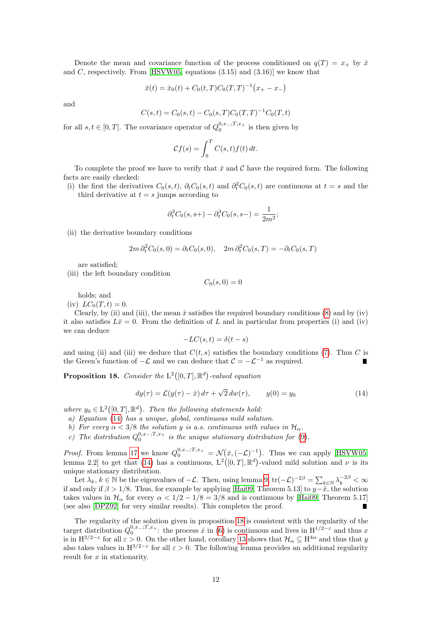Denote the mean and covariance function of the process conditioned on  $q(T) = x_{+}$  by  $\bar{x}$ and C, respectively. From [\[HSVW05,](#page-20-1) equations  $(3.15)$  and  $(3.16)$ ] we know that

$$
\bar{x}(t) = \bar{x}_0(t) + C_0(t, T)C_0(T, T)^{-1}(x_+ - x_-)
$$

and

$$
C(s,t) = C_0(s,t) - C_0(s,T)C_0(T,T)^{-1}C_0(T,t)
$$

for all  $s, t \in [0, T]$ . The covariance operator of  $Q_0^{0,x-,T,x+}$  is then given by

$$
\mathcal{C}f(s) = \int_0^T C(s, t) f(t) dt.
$$

To complete the proof we have to verify that  $\bar{x}$  and  $\mathcal C$  have the required form. The following facts are easily checked:

(i) the first the derivatives  $C_0(s,t)$ ,  $\partial_t C_0(s,t)$  and  $\partial_t^2 C_0(s,t)$  are continuous at  $t = s$  and the third derivative at  $t = s$  jumps according to

$$
\partial_t^3 C_0(s, s+) - \partial_t^3 C_0(s, s-) = \frac{1}{2m^2};
$$

(ii) the derivative boundary conditions

$$
2m \partial_t^2 C_0(s,0) = \partial_t C_0(s,0), \quad 2m \partial_t^2 C_0(s,T) = -\partial_t C_0(s,T)
$$

are satisfied;

(iii) the left boundary condition

 $C_0(s, 0) = 0$ 

holds; and

(iv)  $LC_0(T, t) = 0.$ 

Clearly, by (ii) and (iii), the mean  $\bar{x}$  satisfies the required boundary conditions [\(8\)](#page-3-3) and by (iv) it also satisfies  $L\bar{x}=0$ . From the definition of L and in particular from properties (i) and (iv) we can deduce

<span id="page-11-0"></span>
$$
-LC(s,t) = \delta(t-s)
$$

and using (ii) and (iii) we deduce that  $C(t, s)$  satisfies the boundary conditions [\(7\)](#page-3-4). Thus C is the Green's function of  $-\mathcal{L}$  and we can deduce that  $\mathcal{C} = -\mathcal{L}^{-1}$  as required.

<span id="page-11-1"></span>**Proposition 18.** Consider the  $L^2([0,T], \mathbb{R}^d)$ -valued equation

$$
dy(\tau) = \mathcal{L}(y(\tau) - \bar{x}) d\tau + \sqrt{2} dw(\tau), \qquad y(0) = y_0 \tag{14}
$$

where  $y_0 \in L^2([0,T], \mathbb{R}^d)$ . Then the following statements hold:

- a) Equation [\(14\)](#page-11-0) has a unique, global, continuous mild solution.
- b) For every  $\alpha < 3/8$  the solution y is a.s. continuous with values in  $\mathcal{H}_{\alpha}$ .
- c) The distribution  $Q_0^{0,x_{-};T,x_{+}}$  is the unique stationary distribution for [\(9\)](#page-3-2).

*Proof.* From lemma [17](#page-10-1) we know  $Q_0^{0,x_-;T,x_+} = \mathcal{N}(\bar{x}, (-\mathcal{L})^{-1})$ . Thus we can apply [\[HSVW05,](#page-20-1) lemma 2.2 to get that [\(14\)](#page-11-0) has a continuous,  $L^2([0,T], \mathbb{R}^d)$ -valued mild solution and  $\nu$  is its unique stationary distribution.

Let  $\lambda_k, k \in \mathbb{N}$  be the eigenvalues of  $-\mathcal{L}$ . Then, using lemma [9,](#page-4-1)  $\text{tr}(-\mathcal{L})^{-2\beta} = \sum_{k \in \mathbb{N}} \lambda_k^{-2\beta} < \infty$ if and only if  $\beta > 1/8$ . Thus, for example by applying [\[Hai09,](#page-20-10) Theorem 5.13] to  $y-\bar{x}$ , the solution takes values in  $\mathcal{H}_{\alpha}$  for every  $\alpha < 1/2 - 1/8 = 3/8$  and is continuous by [\[Hai09,](#page-20-10) Theorem 5.17] (see also [\[DPZ92\]](#page-20-15) for very similar results). This completes the proof.

The regularity of the solution given in proposition [18](#page-11-1) is consistent with the regularity of the target distribution  $Q_0^{0,x_-,T,x_+}$ : the process  $\dot{x}$  in [\(6\)](#page-2-2) is continuous and lives in  $H^{1/2-\epsilon}$  and thus x is in  $H^{3/2-\epsilon}$  for all  $\varepsilon > 0$ . On the other hand, corollary [13](#page-8-2) shows that  $\mathcal{H}_{\alpha} \subseteq H^{4\alpha}$  and thus that y also takes values in  $H^{3/2-\epsilon}$  for all  $\varepsilon > 0$ . The following lemma provides an additional regularity result for  $x$  in stationarity.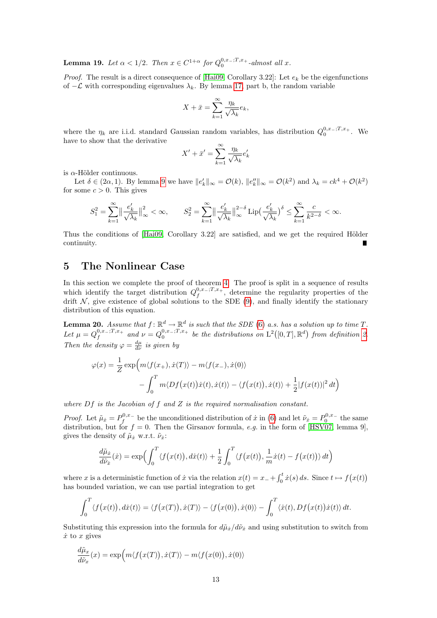<span id="page-12-2"></span>**Lemma 19.** Let  $\alpha < 1/2$ . Then  $x \in C^{1+\alpha}$  for  $Q_0^{0,x_-;T,x_+}$ -almost all x.

*Proof.* The result is a direct consequence of [\[Hai09,](#page-20-10) Corollary 3.22]: Let  $e_k$  be the eigenfunctions of  $-\mathcal{L}$  with corresponding eigenvalues  $\lambda_k$ . By lemma [17,](#page-10-1) part b, the random variable

$$
X + \bar{x} = \sum_{k=1}^{\infty} \frac{\eta_k}{\sqrt{\lambda_k}} e_k,
$$

where the  $\eta_k$  are i.i.d. standard Gaussian random variables, has distribution  $Q_0^{0,x_-;T,x_+}$ . We have to show that the derivative

$$
X' + \bar{x}' = \sum_{k=1}^{\infty} \frac{\eta_k}{\sqrt{\lambda_k}} e'_k
$$

is  $\alpha$ -Hölder continuous.

Let  $\delta \in (2\alpha, 1)$ . By lemma [9](#page-4-1) we have  $||e_k'||_{\infty} = \mathcal{O}(k)$ ,  $||e_k''||_{\infty} = \mathcal{O}(k^2)$  and  $\lambda_k = ck^4 + \mathcal{O}(k^2)$ for some  $c > 0$ . This gives

$$
S_1^2 = \sum_{k=1}^{\infty} \left\| \frac{e'_k}{\sqrt{\lambda_k}} \right\|_{\infty}^2 < \infty, \qquad S_2^2 = \sum_{k=1}^{\infty} \left\| \frac{e'_k}{\sqrt{\lambda_k}} \right\|_{\infty}^{2-\delta} \operatorname{Lip}\left(\frac{e'_k}{\sqrt{\lambda_k}}\right)^{\delta} \le \sum_{k=1}^{\infty} \frac{c}{k^{2-\delta}} < \infty.
$$

Thus the conditions of  $[Ha, 109]$ . Corollary 3.22 are satisfied, and we get the required Hölder continuity.

### <span id="page-12-0"></span>5 The Nonlinear Case

In this section we complete the proof of theorem [4.](#page-3-0) The proof is split in a sequence of results which identify the target distribution  $Q_f^{0,x_-;T,x_+}$ , determine the regularity properties of the drift  $\mathcal N$ , give existence of global solutions to the SDE [\(9\)](#page-3-2), and finally identify the stationary distribution of this equation.

<span id="page-12-1"></span>**Lemma 20.** Assume that  $f: \mathbb{R}^d \to \mathbb{R}^d$  is such that the SDE [\(6\)](#page-2-2) a.s. has a solution up to time T. Let  $\mu = Q_f^{0,x_-;T,x_+}$  and  $\nu = Q_0^{0,x_-;T,x_+}$  be the distributions on  $\mathrm{L}^2([0,T],\mathbb{R}^d)$  from definition [2.](#page-2-3) Then the density  $\varphi = \frac{d\mu}{d\nu}$  is given by

$$
\varphi(x) = \frac{1}{Z} \exp\left(m\langle f(x_+), \dot{x}(T)\rangle - m\langle f(x_-), \dot{x}(0)\rangle\right)
$$

$$
-\int_0^T m\langle Df(x(t))\dot{x}(t), \dot{x}(t)\rangle - \langle f(x(t)), \dot{x}(t)\rangle + \frac{1}{2}|f(x(t))|^2 dt\right)
$$

where  $Df$  is the Jacobian of  $f$  and  $Z$  is the required normalisation constant.

*Proof.* Let  $\tilde{\mu}_x = P_f^{0,x_-}$  be the unconditioned distribution of  $\dot{x}$  in [\(6\)](#page-2-2) and let  $\tilde{\nu}_x = P_0^{0,x_-}$  the same distribution, but for  $f = 0$ . Then the Girsanov formula, e.g. in the form of [\[HSV07,](#page-20-2) lemma 9], gives the density of  $\tilde{\mu}_x$  w.r.t.  $\tilde{\nu}_x$ :

$$
\frac{d\tilde{\mu}_{\dot{x}}}{d\tilde{\nu}_{\dot{x}}}(\dot{x}) = \exp\Bigl(\int_0^T \langle f(x(t)), d\dot{x}(t) \rangle + \frac{1}{2} \int_0^T \langle f(x(t)), \frac{1}{m}\dot{x}(t) - f(x(t)) \rangle dt\Bigr)
$$

where x is a deterministic function of x via the relation  $x(t) = x_+ + \int_0^t x(s) ds$ . Since  $t \mapsto f(x(t))$ has bounded variation, we can use partial integration to get

$$
\int_0^T \langle f(x(t)), \dot{x}(t) \rangle = \langle f(x(T)), \dot{x}(T) \rangle - \langle f(x(0)), \dot{x}(0) \rangle - \int_0^T \langle \dot{x}(t), Df(x(t))\dot{x}(t) \rangle dt.
$$

Substituting this expression into the formula for  $d\tilde{\mu}_{\tilde{x}}/d\tilde{\nu}_{\tilde{x}}$  and using substitution to switch from  $\dot{x}$  to  $x$  gives

$$
\frac{d\tilde{\mu}_x}{d\tilde{\nu}_x}(x) = \exp\Big(m\langle f\big(x(T)\big), \dot{x}(T)\rangle - m\langle f\big(x(0)\big), \dot{x}(0)\rangle\Big)
$$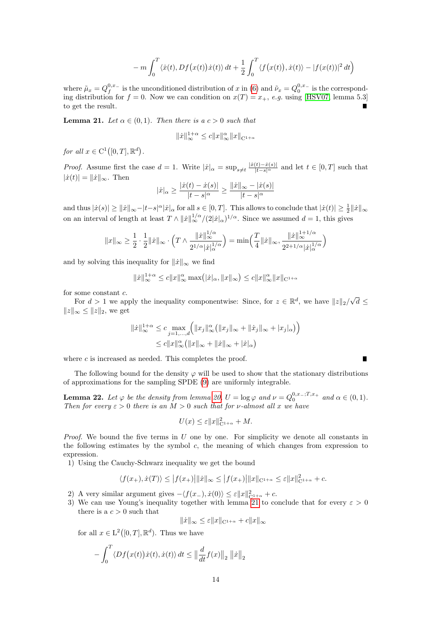$$
-m\int_0^T \langle \dot{x}(t), Df(x(t))\dot{x}(t)\rangle dt + \frac{1}{2}\int_0^T \langle f(x(t)), \dot{x}(t)\rangle - |f(x(t))|^2 dt
$$

where  $\tilde{\mu}_x = Q_f^{0,x_-}$  is the unconditioned distribution of x in [\(6\)](#page-2-2) and  $\tilde{\nu}_x = Q_0^{0,x_-}$  is the corresponding distribution for  $f = 0$ . Now we can condition on  $x(T) = x_+$ , e.g. using [\[HSV07,](#page-20-2) lemma 5.3] to get the result.

<span id="page-13-1"></span>**Lemma 21.** Let  $\alpha \in (0,1)$ . Then there is  $a c > 0$  such that

$$
\|\dot{x}\|_{\infty}^{1+\alpha} \le c \|x\|_{\infty}^{\alpha} \|x\|_{\mathcal{C}^{1+\alpha}}
$$

for all  $x \in C^1([0,T], \mathbb{R}^d)$ .

*Proof.* Assume first the case  $d = 1$ . Write  $|\dot{x}|_{\alpha} = \sup_{s \neq t} \frac{|\dot{x}(t) - \dot{x}(s)|}{|t-s|^{\alpha}}$  and let  $t \in [0, T]$  such that  $|\dot{x}(t)| = ||\dot{x}||_{\infty}$ . Then

$$
|\dot{x}|_{\alpha}\geq\frac{|\dot{x}(t)-\dot{x}(s)|}{|t-s|^{\alpha}}\geq\frac{\|\dot{x}\|_{\infty}-|\dot{x}(s)|}{|t-s|^{\alpha}}
$$

and thus  $|\dot{x}(s)| \ge ||\dot{x}||_{\infty} - |t-s|^{\alpha} |\dot{x}|_{\alpha}$  for all  $s \in [0, T]$ . This allows to conclude that  $|\dot{x}(t)| \ge \frac{1}{2} ||\dot{x}||_{\infty}$ on an interval of length at least  $T \wedge ||\dot{x}||_{\infty}^{1/\alpha}/(2|\dot{x}|_{\alpha})^{1/\alpha}$ . Since we assumed  $d = 1$ , this gives

$$
||x||_{\infty} \ge \frac{1}{2} \cdot \frac{1}{2} ||\dot{x}||_{\infty} \cdot \left( T \wedge \frac{||\dot{x}||_{\infty}^{1/\alpha}}{2^{1/\alpha} |\dot{x}|_{\alpha}^{1/\alpha}} \right) = \min \left( \frac{T}{4} ||\dot{x}||_{\infty}, \frac{||\dot{x}||_{\infty}^{1+1/\alpha}}{2^{2+1/\alpha} |\dot{x}|_{\alpha}^{1/\alpha}} \right)
$$

and by solving this inequality for  $\|\dot{x}\|_{\infty}$  we find

$$
||\dot{x}||_{\infty}^{1+\alpha} \le c||x||_{\infty}^{\alpha} \max(|\dot{x}|_{\alpha}, ||x||_{\infty}) \le c||x||_{\infty}^{\alpha} ||x||_{\mathcal{C}^{1+\alpha}}
$$

for some constant c.

For  $d > 1$  we apply the inequality componentwise: Since, for  $z \in \mathbb{R}^d$ , we have  $||z||_2$ / √  $d \leq$  $||z||_{\infty} \leq ||z||_2$ , we get

$$
||\dot{x}||_{\infty}^{1+\alpha} \leq c \max_{j=1,\dots,d} (||x_j||_{\infty}^{\alpha} (||x_j||_{\infty} + ||\dot{x}_j||_{\infty} + |x_j|_{\alpha}))
$$
  

$$
\leq c||x||_{\infty}^{\alpha} (||x||_{\infty} + ||\dot{x}||_{\infty} + |\dot{x}|_{\alpha})
$$

where  $c$  is increased as needed. This completes the proof.

The following bound for the density  $\varphi$  will be used to show that the stationary distributions of approximations for the sampling SPDE [\(9\)](#page-3-2) are uniformly integrable.

Г

<span id="page-13-0"></span>**Lemma 22.** Let  $\varphi$  be the density from lemma [20,](#page-12-1)  $U = \log \varphi$  and  $\nu = Q_0^{0,x_-;T,x_+}$  and  $\alpha \in (0,1)$ . Then for every  $\varepsilon > 0$  there is an  $M > 0$  such that for v-almost all x we have

$$
U(x) \le \varepsilon ||x||_{\mathcal{C}^{1+\alpha}}^2 + M.
$$

Proof. We bound the five terms in  $U$  one by one. For simplicity we denote all constants in the following estimates by the symbol  $c$ , the meaning of which changes from expression to expression.

1) Using the Cauchy-Schwarz inequality we get the bound

$$
\langle f(x_+), \dot{x}(T) \rangle \le |f(x_+)|\|\dot{x}\|_{\infty} \le |f(x_+)|\|x\|_{\mathcal{C}^{1+\alpha}} \le \varepsilon \|x\|_{\mathcal{C}^{1+\alpha}}^2 + c.
$$

- 2) A very similar argument gives  $-\langle f(x_-), \dot{x}(0) \rangle \leq \varepsilon ||x||_{C^{1+\alpha}}^2 + c$ .
- 3) We can use Young's inequality together with lemma [21](#page-13-1) to conclude that for every  $\varepsilon > 0$ there is a  $c > 0$  such that

$$
\|\dot{x}\|_{\infty} \leq \varepsilon \|x\|_{\mathcal{C}^{1+\alpha}} + c \|x\|_{\infty}
$$

for all  $x \in L^2([0,T], \mathbb{R}^d)$ . Thus we have

$$
-\int_0^T \langle Df(x(t))\dot{x}(t), \dot{x}(t) \rangle dt \leq \left\| \frac{d}{dt} f(x) \right\|_2 \left\| \dot{x} \right\|_2
$$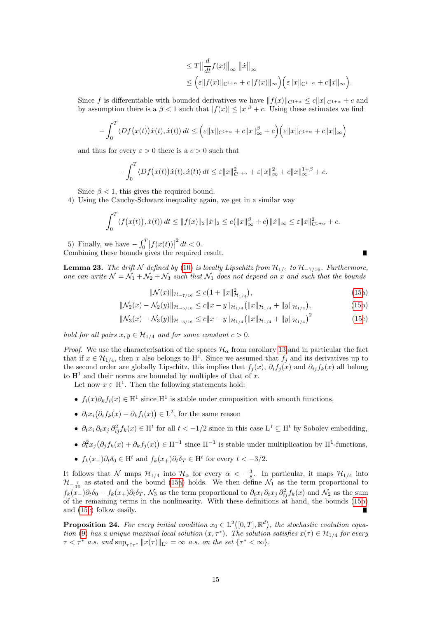$$
\leq T \left\| \frac{d}{dt} f(x) \right\|_{\infty} \| \dot{x} \|_{\infty}
$$
  

$$
\leq \left( \varepsilon \| f(x) \|_{\mathcal{C}^{1+\alpha}} + c \| f(x) \|_{\infty} \right) \left( \varepsilon \| x \|_{\mathcal{C}^{1+\alpha}} + c \| x \|_{\infty} \right).
$$

Since f is differentiable with bounded derivatives we have  $||f(x)||_{C^{1+\alpha}} \leq c||x||_{C^{1+\alpha}} + c$  and by assumption there is a  $\beta < 1$  such that  $|f(x)| \leq |x|^{\beta} + c$ . Using these estimates we find

$$
-\int_0^T \langle Df(x(t))\dot{x}(t), \dot{x}(t) \rangle dt \leq \left(\varepsilon ||x||_{\mathcal{C}^{1+\alpha}} + c ||x||_{\infty}^{\beta} + c\right) \left(\varepsilon ||x||_{\mathcal{C}^{1+\alpha}} + c ||x||_{\infty}\right)
$$

and thus for every  $\varepsilon > 0$  there is a  $c > 0$  such that

$$
-\int_0^T \langle Df(x(t))\dot{x}(t), \dot{x}(t) \rangle dt \leq \varepsilon ||x||_{\mathcal{C}^{1+\alpha}}^2 + \varepsilon ||x||_{\infty}^2 + c ||x||_{\infty}^{1+\beta} + c.
$$

Since  $\beta$  < 1, this gives the required bound.

4) Using the Cauchy-Schwarz inequality again, we get in a similar way

$$
\int_0^T \langle f(x(t)), \dot{x}(t) \rangle dt \le ||f(x)||_2 \|\dot{x}\|_2 \le c(||x||_{\infty}^{\beta} + c) \|\dot{x}\|_{\infty} \le \varepsilon ||x||_{C^{1+\alpha}}^2 + c.
$$

5) Finally, we have  $-\int_0^T \left| f(x(t)) \right|$  $x^2 dt < 0.$ Combining these bounds gives the required result.

<span id="page-14-0"></span>**Lemma 23.** The drift N defined by [\(10\)](#page-3-5) is locally Lipschitz from  $\mathcal{H}_{1/4}$  to  $\mathcal{H}_{-7/16}$ . Furthermore, one can write  $\mathcal{N} = \mathcal{N}_1 + \mathcal{N}_2 + \mathcal{N}_3$  such that  $\mathcal{N}_1$  does not depend on x and such that the bounds

$$
\|\mathcal{N}(x)\|_{\mathcal{H}_{-\frac{7}{16}}}\leq c\big(1+\|x\|_{\mathcal{H}_{1/4}}^2\big),\tag{15a}
$$

<span id="page-14-3"></span><span id="page-14-2"></span><span id="page-14-1"></span>Г

$$
\|\mathcal{N}_2(x) - \mathcal{N}_2(y)\|_{\mathcal{H}_{-5/16}} \le c \|x - y\|_{\mathcal{H}_{1/4}} \left( \|x\|_{\mathcal{H}_{1/4}} + \|y\|_{\mathcal{H}_{1/4}} \right),\tag{15b}
$$

$$
\|\mathcal{N}_3(x) - \mathcal{N}_3(y)\|_{\mathcal{H}_{-3/16}} \le c \|x - y\|_{\mathcal{H}_{1/4}} \left( \|x\|_{\mathcal{H}_{1/4}} + \|y\|_{\mathcal{H}_{1/4}} \right)^2 \tag{15c}
$$

hold for all pairs  $x, y \in \mathcal{H}_{1/4}$  and for some constant  $c > 0$ .

*Proof.* We use the characterisation of the spaces  $\mathcal{H}_{\alpha}$  from corollary [13](#page-8-2) and in particular the fact that if  $x \in \mathcal{H}_{1/4}$ , then x also belongs to  $H^1$ . Since we assumed that  $f_j$  and its derivatives up to the second order are globally Lipschitz, this implies that  $f_i(x)$ ,  $\partial_i f_i(x)$  and  $\partial_{ij} f_k(x)$  all belong to  $H^1$  and their norms are bounded by multiples of that of x.

Let now  $x \in H^1$ . Then the following statements hold:

- $f_i(x)\partial_k f_i(x) \in \mathcal{H}^1$  since  $\mathcal{H}^1$  is stable under composition with smooth functions,
- $\partial_t x_i \big( \partial_i f_k(x) \partial_k f_i(x) \big) \in L^2$ , for the same reason
- $\partial_t x_i \partial_t x_j \partial_{ij}^2 f_k(x) \in H^t$  for all  $t < -1/2$  since in this case  $L^1 \subseteq H^t$  by Sobolev embedding,
- $\partial_t^2 x_j \big( \partial_j f_k(x) + \partial_k f_j(x) \big) \in \mathcal{H}^{-1}$  since  $\mathcal{H}^{-1}$  is stable under multiplication by  $\mathcal{H}^1$ -functions,
- $f_k(x_-)\partial_t \delta_0 \in \mathcal{H}^t$  and  $f_k(x_+)\partial_t \delta_T \in \mathcal{H}^t$  for every  $t < -3/2$ .

It follows that N maps  $\mathcal{H}_{1/4}$  into  $\mathcal{H}_{\alpha}$  for every  $\alpha < -\frac{3}{8}$ . In particular, it maps  $\mathcal{H}_{1/4}$  into  $\mathcal{H}_{-\frac{7}{16}}$  as stated and the bound [\(15a\)](#page-14-1) holds. We then define  $\mathcal{N}_1$  as the term proportional to  $f_k(x_-)\partial_t\delta_0 - f_k(x_+)\partial_t\delta_T$ ,  $\mathcal{N}_3$  as the term proportional to  $\partial_t x_i \partial_t x_j \partial^2_{ij} f_k(x)$  and  $\mathcal{N}_2$  as the sum of the remaining terms in the nonlinearity. With these definitions at hand, the bounds [\(15b\)](#page-14-2) and [\(15c\)](#page-14-3) follow easily. Ē

<span id="page-14-4"></span>**Proposition 24.** For every initial condition  $x_0 \in L^2([0,T], \mathbb{R}^d)$ , the stochastic evolution equa-tion [\(9\)](#page-3-2) has a unique maximal local solution  $(x, \tau^*)$ . The solution satisfies  $x(\tau) \in \mathcal{H}_{1/4}$  for every  $\tau < \tau^*$  a.s. and  $\sup_{\tau \uparrow \tau^*} ||x(\tau)||_{\mathbb{L}^2} = \infty$  a.s. on the set  $\{\tau^* < \infty\}.$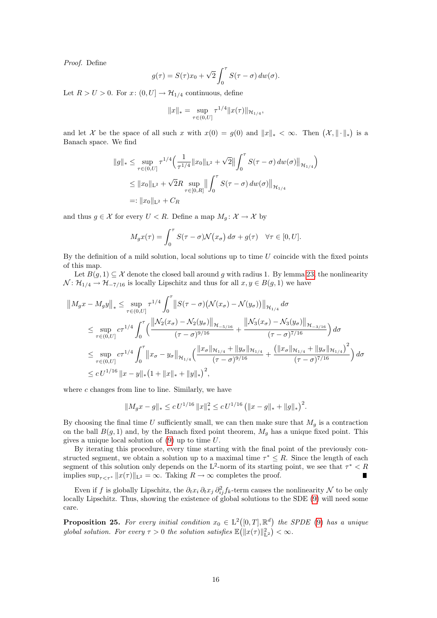Proof. Define

$$
g(\tau) = S(\tau)x_0 + \sqrt{2} \int_0^{\tau} S(\tau - \sigma) dw(\sigma).
$$

Let  $R > U > 0$ . For  $x: (0, U] \rightarrow \mathcal{H}_{1/4}$  continuous, define

$$
||x||_* = \sup_{\tau \in (0,U]} \tau^{1/4} ||x(\tau)||_{\mathcal{H}_{1/4}},
$$

and let X be the space of all such x with  $x(0) = g(0)$  and  $||x||_* < \infty$ . Then  $(\mathcal{X}, ||\cdot||_*)$  is a Banach space. We find

$$
||g||_* \le \sup_{\tau \in (0,U]} \tau^{1/4} \Big( \frac{1}{\tau^{1/4}} ||x_0||_{\mathcal{L}^2} + \sqrt{2} || \int_0^{\tau} S(\tau - \sigma) \, dw(\sigma) ||_{\mathcal{H}_{1/4}} \Big)
$$
  

$$
\le ||x_0||_{\mathcal{L}^2} + \sqrt{2}R \sup_{\tau \in [0,R]} || \int_0^{\tau} S(\tau - \sigma) \, dw(\sigma) ||_{\mathcal{H}_{1/4}}
$$
  

$$
=: ||x_0||_{\mathcal{L}^2} + C_R
$$

and thus  $g \in \mathcal{X}$  for every  $U < R$ . Define a map  $M_g: \mathcal{X} \to \mathcal{X}$  by

$$
M_g x(\tau) = \int_0^{\tau} S(\tau - \sigma) \mathcal{N}(x_{\sigma}) d\sigma + g(\tau) \quad \forall \tau \in [0, U].
$$

By the definition of a mild solution, local solutions up to time  $U$  coincide with the fixed points of this map.

Let  $B(g, 1) \subseteq \mathcal{X}$  denote the closed ball around g with radius 1. By lemma [23,](#page-14-0) the nonlinearity  $\mathcal{N}$ :  $\mathcal{H}_{1/4} \to \mathcal{H}_{-7/16}$  is locally Lipschitz and thus for all  $x, y \in B(g, 1)$  we have

$$
\|M_gx - M_gy\|_{*} \leq \sup_{\tau \in (0,U]} \tau^{1/4} \int_0^{\tau} \|S(\tau - \sigma) \left(\mathcal{N}(x_{\sigma}) - \mathcal{N}(y_{\sigma})\right)\|_{\mathcal{H}_{1/4}} d\sigma
$$
  
\n
$$
\leq \sup_{\tau \in (0,U]} c\tau^{1/4} \int_0^{\tau} \left( \frac{\left\|\mathcal{N}_2(x_{\sigma}) - \mathcal{N}_2(y_{\sigma})\right\|_{\mathcal{H}_{-5/16}}}{(\tau - \sigma)^{9/16}} + \frac{\left\|\mathcal{N}_3(x_{\sigma}) - \mathcal{N}_3(y_{\sigma})\right\|_{\mathcal{H}_{-3/16}}}{(\tau - \sigma)^{7/16}} \right) d\sigma
$$
  
\n
$$
\leq \sup_{\tau \in (0,U]} c\tau^{1/4} \int_0^{\tau} \left\|x_{\sigma} - y_{\sigma}\right\|_{\mathcal{H}_{1/4}} \left( \frac{\|x_{\sigma}\|_{\mathcal{H}_{1/4}} + \|y_{\sigma}\|_{\mathcal{H}_{1/4}}}{(\tau - \sigma)^{9/16}} + \frac{\left(\|x_{\sigma}\|_{\mathcal{H}_{1/4}} + \|y_{\sigma}\|_{\mathcal{H}_{1/4}}\right)^2}{(\tau - \sigma)^{7/16}} \right) d\sigma
$$
  
\n
$$
\leq c \, U^{1/16} \, \|x - y\|_{*} \left(1 + \|x\|_{*} + \|y\|_{*}\right)^2,
$$

where  $c$  changes from line to line. Similarly, we have

$$
||M_gx - g||_* \le c U^{1/16} ||x||_*^2 \le c U^{1/16} (||x - g||_* + ||g||_*)^2.
$$

By choosing the final time U sufficiently small, we can then make sure that  $M_g$  is a contraction on the ball  $B(g, 1)$  and, by the Banach fixed point theorem,  $M_g$  has a unique fixed point. This gives a unique local solution of [\(9\)](#page-3-2) up to time U.

By iterating this procedure, every time starting with the final point of the previously constructed segment, we obtain a solution up to a maximal time  $\tau^* \leq R$ . Since the length of each segment of this solution only depends on the L<sup>2</sup>-norm of its starting point, we see that  $\tau^* < R$ implies  $\sup_{\tau \leq \tau^*} ||x(\tau)||_{L^2} = \infty$ . Taking  $R \to \infty$  completes the proof.  $\blacksquare$ 

Even if f is globally Lipschitz, the  $\partial_t x_i \partial_t x_j \partial_{ij}^2 f_k$ -term causes the nonlinearity N to be only locally Lipschitz. Thus, showing the existence of global solutions to the SDE [\(9\)](#page-3-2) will need some care.

<span id="page-15-0"></span>**Proposition 25.** For every initial condition  $x_0 \in L^2([0,T], \mathbb{R}^d)$  the SPDE [\(9\)](#page-3-2) has a unique global solution. For every  $\tau > 0$  the solution satisfies  $\mathbb{E}(|x(\tau)||_{\text{L}^2}^2) < \infty$ .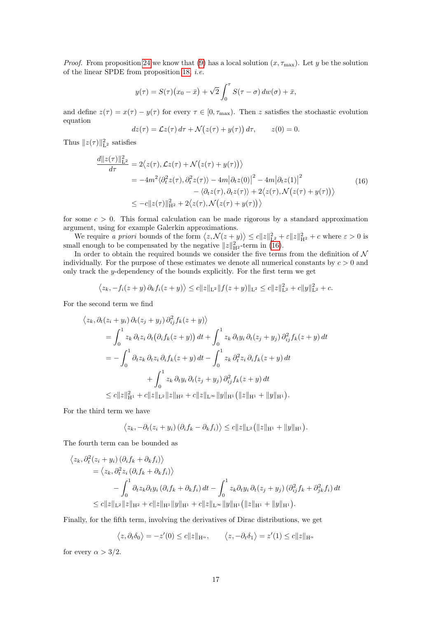*Proof.* From proposition [24](#page-14-4) we know that [\(9\)](#page-3-2) has a local solution  $(x, \tau_{\text{max}})$ . Let y be the solution of the linear SPDE from proposition [18,](#page-11-1) i.e.

$$
y(\tau) = S(\tau)(x_0 - \bar{x}) + \sqrt{2} \int_0^{\tau} S(\tau - \sigma) dw(\sigma) + \bar{x},
$$

and define  $z(\tau) = x(\tau) - y(\tau)$  for every  $\tau \in [0, \tau_{\text{max}})$ . Then z satisfies the stochastic evolution equation

<span id="page-16-0"></span>
$$
dz(\tau) = \mathcal{L}z(\tau) d\tau + \mathcal{N}(z(\tau) + y(\tau)) d\tau, \qquad z(0) = 0.
$$

Thus  $||z(\tau)||_{\mathcal{L}^2}^2$  satisfies

$$
\frac{d||z(\tau)||_{\mathbf{L}^2}^2}{d\tau} = 2\langle z(\tau), \mathcal{L}z(\tau) + \mathcal{N}(z(\tau) + y(\tau)) \rangle
$$
  
\n
$$
= -4m^2 \langle \partial_t^2 z(\tau), \partial_t^2 z(\tau) \rangle - 4m |\partial_t z(0)|^2 - 4m |\partial_t z(1)|^2
$$
  
\n
$$
- \langle \partial_t z(\tau), \partial_t z(\tau) \rangle + 2\langle z(\tau), \mathcal{N}(z(\tau) + y(\tau)) \rangle
$$
\n
$$
\leq -c||z(\tau)||_{\mathbf{H}^2}^2 + 2\langle z(\tau), \mathcal{N}(z(\tau) + y(\tau)) \rangle
$$
\n(16)

for some  $c > 0$ . This formal calculation can be made rigorous by a standard approximation argument, using for example Galerkin approximations.

We require a priori bounds of the form  $\langle z, \mathcal{N}(z+y) \rangle \le c ||z||_{\mathbf{L}^2}^2 + \varepsilon ||z||_{\mathbf{H}^2}^2 + c$  where  $\varepsilon > 0$  is small enough to be compensated by the negative  $||z||_{\text{H}^2}^2$ -term in [\(16\)](#page-16-0).

In order to obtain the required bounds we consider the five terms from the definition of  $\mathcal N$ individually. For the purpose of these estimates we denote all numerical constants by  $c > 0$  and only track the y-dependency of the bounds explicitly. For the first term we get

$$
\langle z_k, -f_i(z+y)\,\partial_k f_i(z+y)\rangle \leq c||z||_{\mathcal{L}^2}||f(z+y)||_{\mathcal{L}^2} \leq c||z||_{\mathcal{L}^2}^2 + c||y||_{\mathcal{L}^2}^2 + c.
$$

For the second term we find

$$
\langle z_k, \partial_t (z_i + y_i) \partial_t (z_j + y_j) \partial_{ij}^2 f_k(z + y) \rangle
$$
  
=  $\int_0^1 z_k \partial_t z_i \partial_t (\partial_i f_k(z + y)) dt + \int_0^1 z_k \partial_t y_i \partial_t (z_j + y_j) \partial_{ij}^2 f_k(z + y) dt$   
=  $-\int_0^1 \partial_t z_k \partial_t z_i \partial_i f_k(z + y) dt - \int_0^1 z_k \partial_t^2 z_i \partial_i f_k(z + y) dt$   
+  $\int_0^1 z_k \partial_t y_i \partial_t (z_j + y_j) \partial_{ij}^2 f_k(z + y) dt$   
 $\leq c \|z\|_{\mathcal{H}^1}^2 + c \|z\|_{\mathcal{L}^2} \|z\|_{\mathcal{H}^2} + c \|z\|_{\mathcal{L}^{\infty}} \|y\|_{\mathcal{H}^1} (\|z\|_{\mathcal{H}^1} + \|y\|_{\mathcal{H}^1}).$ 

For the third term we have

$$
\langle z_k, -\partial_t (z_i + y_i) \left( \partial_i f_k - \partial_k f_i \right) \rangle \leq c \|z\|_{\mathcal{L}^2} \big( \|z\|_{\mathcal{H}^1} + \|y\|_{\mathcal{H}^1} \big).
$$

The fourth term can be bounded as

$$
\langle z_k, \partial_t^2 (z_i + y_i) (\partial_i f_k + \partial_k f_i) \rangle
$$
  
=  $\langle z_k, \partial_t^2 z_i (\partial_i f_k + \partial_k f_i) \rangle$   

$$
- \int_0^1 \partial_t z_k \partial_t y_i (\partial_i f_k + \partial_k f_i) dt - \int_0^1 z_k \partial_t y_i \partial_t (z_j + y_j) (\partial_{ij}^2 f_k + \partial_{jk}^2 f_i) dt
$$
  

$$
\leq c ||z||_{\mathcal{L}^2} ||z||_{\mathcal{H}^2} + c ||z||_{\mathcal{H}^1} ||y||_{\mathcal{H}^1} + c ||z||_{\mathcal{L}^{\infty}} ||y||_{\mathcal{H}^1} (||z||_{\mathcal{H}^1} + ||y||_{\mathcal{H}^1}).
$$

Finally, for the fifth term, involving the derivatives of Dirac distributions, we get

$$
\langle z, \partial_t \delta_0 \rangle = -z'(0) \le c \|z\|_{\mathcal{H}^{\alpha}}, \qquad \langle z, -\partial_t \delta_1 \rangle = z'(1) \le c \|z\|_{\mathcal{H}^{\alpha}}
$$

for every  $\alpha > 3/2$ .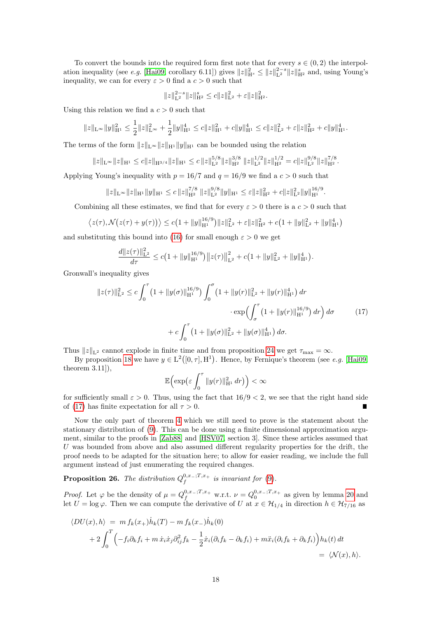To convert the bounds into the required form first note that for every  $s \in (0, 2)$  the interpol-ation inequality (see e.g. [\[Hai09,](#page-20-10) corollary 6.11]) gives  $||z||_{\mathcal{H}^s}^2 \le ||z||_{\mathcal{L}^2}^{2-s} ||z||_{\mathcal{H}^2}^s$  and, using Young's inequality, we can for every  $\varepsilon > 0$  find a  $c > 0$  such that

$$
||z||_{\mathcal{L}^2}^{2-s}||z||_{\mathcal{H}^2}^s \le c||z||_{\mathcal{L}^2}^2 + \varepsilon ||z||_{\mathcal{H}^2}^2.
$$

Using this relation we find a  $c > 0$  such that

$$
||z||_{\mathcal{L}^{\infty}}||y||_{\mathcal{H}^{1}}^{2} \leq \frac{1}{2}||z||_{\mathcal{L}^{\infty}}^{2} + \frac{1}{2}||y||_{\mathcal{H}^{1}}^{4} \leq c||z||_{\mathcal{H}^{1}}^{2} + c||y||_{\mathcal{H}^{1}}^{4} \leq c||z||_{\mathcal{L}^{2}}^{2} + \varepsilon||z||_{\mathcal{H}^{2}}^{2} + c||y||_{\mathcal{H}^{1}}^{4}.
$$

The terms of the form  $||z||_{L^{\infty}}||z||_{H^1} ||y||_{H^1}$  can be bounded using the relation

$$
||z||_{\mathcal{L}^{\infty}}||z||_{\mathcal{H}^{1}} \leq c||z||_{\mathcal{H}^{3/4}}||z||_{\mathcal{H}^{1}} \leq c||z||_{\mathcal{L}^{2}}^{5/8}||z||_{\mathcal{H}^{2}}^{3/8} ||z||_{\mathcal{L}^{2}}^{1/2}||z||_{\mathcal{H}^{2}}^{1/2} = c||z||_{\mathcal{L}^{2}}^{9/8}||z||_{\mathcal{H}^{2}}^{7/8}.
$$

Applying Young's inequality with  $p = 16/7$  and  $q = 16/9$  we find a  $c > 0$  such that

$$
||z||_{\mathcal{L}^{\infty}}||z||_{\mathcal{H}^{1}}||y||_{\mathcal{H}^{1}} \leq c||z||_{\mathcal{H}^{2}}^{7/8} ||z||_{\mathcal{L}^{2}}^{9/8}||y||_{\mathcal{H}^{1}} \leq \varepsilon ||z||_{\mathcal{H}^{2}}^{2} + c||z||_{\mathcal{L}^{2}}^{2}||y||_{\mathcal{H}^{1}}^{16/9}.
$$

Combining all these estimates, we find that for every  $\varepsilon > 0$  there is a  $c > 0$  such that

$$
\langle z(\tau), \mathcal{N}(z(\tau) + y(\tau)) \rangle \le c \big( 1 + \|y\|_{\mathbb{H}^1}^{16/9} \big) \|z\|_{\mathbb{L}^2}^2 + \varepsilon \|z\|_{\mathbb{H}^2}^2 + c \big( 1 + \|y\|_{\mathbb{L}^2}^2 + \|y\|_{\mathbb{H}^1}^4 \big)
$$

and substituting this bound into [\(16\)](#page-16-0) for small enough  $\varepsilon > 0$  we get

$$
\frac{d||z(\tau)||^{2}_{\mathbf{L}^{2}}}{d\tau} \leq c\big(1+\|y\|^{16/9}_{\mathbf{H}^{1}}\big)\big\|z(\tau)\big\|^{2}_{\mathbf{L}^{2}} + c\big(1+\|y\|^{2}_{\mathbf{L}^{2}} + \|y\|^{4}_{\mathbf{H}^{1}}\big).
$$

Gronwall's inequality gives

$$
||z(\tau)||_{\mathcal{L}^{2}}^{2} \leq c \int_{0}^{\tau} \left(1 + ||y(\sigma)||_{\mathcal{H}^{1}}^{16/9}\right) \int_{0}^{\sigma} \left(1 + ||y(r)||_{\mathcal{L}^{2}}^{2} + ||y(r)||_{\mathcal{H}^{1}}^{4}\right) dr
$$

$$
\cdot \exp\left(\int_{\sigma}^{\tau} \left(1 + ||y(r)||_{\mathcal{H}^{1}}^{16/9}\right) dr\right) d\sigma + c \int_{0}^{\tau} \left(1 + ||y(\sigma)||_{\mathcal{L}^{2}}^{2} + ||y(\sigma)||_{\mathcal{H}^{1}}^{4}\right) d\sigma. \tag{17}
$$

Thus  $||z||_{L^2}$  cannot explode in finite time and from proposition [24](#page-14-4) we get  $\tau_{\text{max}} = \infty$ .

By proposition [18](#page-11-1) we have  $y \in L^2([0, \tau], H^1)$ . Hence, by Fernique's theorem (see e.g. [\[Hai09,](#page-20-10) theorem 3.11]),

<span id="page-17-1"></span>
$$
\mathbb{E}\Big(\exp\big(\varepsilon\int_0^\tau\|y(r)\|_{\mathcal{H}^1}^2\,dr\big)\Big)<\infty
$$

for sufficiently small  $\varepsilon > 0$ . Thus, using the fact that  $16/9 < 2$ , we see that the right hand side of [\(17\)](#page-17-1) has finite expectation for all  $\tau > 0$ .

Now the only part of theorem [4](#page-3-0) which we still need to prove is the statement about the stationary distribution of [\(9\)](#page-3-2). This can be done using a finite dimensional approximation argument, similar to the proofs in [\[Zab88\]](#page-20-5) and [\[HSV07,](#page-20-2) section 3]. Since these articles assumed that U was bounded from above and also assumed different regularity properties for the drift, the proof needs to be adapted for the situation here; to allow for easier reading, we include the full argument instead of just enumerating the required changes.

<span id="page-17-0"></span>**Proposition 26.** The distribution  $Q_f^{0,x_-;T,x_+}$  is invariant for [\(9\)](#page-3-2).

*Proof.* Let  $\varphi$  be the density of  $\mu = Q_f^{0,x_-;T,x_+}$  w.r.t.  $\nu = Q_0^{0,x_-;T,x_+}$  as given by lemma [20](#page-12-1) and let  $U = \log \varphi$ . Then we can compute the derivative of U at  $x \in \mathcal{H}_{1/4}$  in direction  $h \in \mathcal{H}_{7/16}$  as

$$
\langle DU(x), h \rangle = m f_k(x_+) \dot{h}_k(T) - m f_k(x_-) \dot{h}_k(0)
$$
  
+ 
$$
2 \int_0^T \Big( -f_i \partial_k f_i + m \dot{x}_i \dot{x}_j \partial_{ij}^2 f_k - \frac{1}{2} \dot{x}_i (\partial_i f_k - \partial_k f_i) + m \ddot{x}_i (\partial_i f_k + \partial_k f_i) \Big) h_k(t) dt
$$
  
=  $\langle \mathcal{N}(x), h \rangle$ .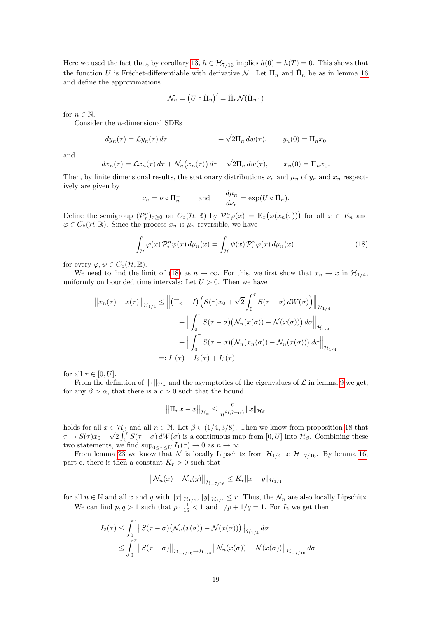Here we used the fact that, by corollary [13,](#page-8-2)  $h \in \mathcal{H}_{7/16}$  implies  $h(0) = h(T) = 0$ . This shows that the function U is Fréchet-differentiable with derivative  $\mathcal{N}$ . Let  $\Pi_n$  and  $\hat{\Pi}_n$  be as in lemma [16](#page-9-1) and define the approximations

$$
\mathcal{N}_n = (U \circ \hat{\Pi}_n)' = \hat{\Pi}_n \mathcal{N}(\hat{\Pi}_n \cdot)
$$

for  $n \in \mathbb{N}$ .

Consider the n-dimensional SDEs

$$
dy_n(\tau) = \mathcal{L}y_n(\tau) d\tau + \sqrt{2}\Pi_n dw(\tau), \qquad y_n(0) = \Pi_n x_0
$$

and

$$
dx_n(\tau) = \mathcal{L}x_n(\tau) d\tau + \mathcal{N}_n(x_n(\tau)) d\tau + \sqrt{2}\Pi_n dw(\tau), \qquad x_n(0) = \Pi_n x_0.
$$

Then, by finite dimensional results, the stationary distributions  $\nu_n$  and  $\mu_n$  of  $y_n$  and  $x_n$  respectively are given by

<span id="page-18-0"></span>
$$
\nu_n = \nu \circ \Pi_n^{-1}
$$
 and  $\frac{d\mu_n}{d\nu_n} = \exp(U \circ \hat{\Pi}_n).$ 

Define the semigroup  $(\mathcal{P}_{\tau}^n)_{\tau\geq 0}$  on  $C_{\rm b}(\mathcal{H}, \mathbb{R})$  by  $\mathcal{P}_{\tau}^n\varphi(x) = \mathbb{E}_x(\varphi(x_n(\tau)))$  for all  $x \in E_n$  and  $\varphi \in C_{\mathbf{b}}(\mathcal{H}, \mathbb{R})$ . Since the process  $x_n$  is  $\mu_n$ -reversible, we have

$$
\int_{\mathcal{H}} \varphi(x) \, \mathcal{P}_\tau^n \psi(x) \, d\mu_n(x) = \int_{\mathcal{H}} \psi(x) \, \mathcal{P}_\tau^n \varphi(x) \, d\mu_n(x). \tag{18}
$$

for every  $\varphi, \psi \in C_{\rm b}(\mathcal{H}, \mathbb{R}).$ 

We need to find the limit of [\(18\)](#page-18-0) as  $n \to \infty$ . For this, we first show that  $x_n \to x$  in  $\mathcal{H}_{1/4}$ , uniformly on bounded time intervals: Let  $U > 0$ . Then we have

$$
||x_n(\tau) - x(\tau)||_{\mathcal{H}_{1/4}} \le ||(\Pi_n - I) \Big( S(\tau) x_0 + \sqrt{2} \int_0^{\tau} S(\tau - \sigma) dW(\sigma) \Big) ||_{\mathcal{H}_{1/4}}
$$
  
+ 
$$
|| \int_0^{\tau} S(\tau - \sigma) (\mathcal{N}_n(x(\sigma)) - \mathcal{N}(x(\sigma))) d\sigma ||_{\mathcal{H}_{1/4}}
$$
  
+ 
$$
|| \int_0^{\tau} S(\tau - \sigma) (\mathcal{N}_n(x_n(\sigma)) - \mathcal{N}_n(x(\sigma))) d\sigma ||_{\mathcal{H}_{1/4}}
$$
  
=:  $I_1(\tau) + I_2(\tau) + I_3(\tau)$ 

for all  $\tau \in [0, U]$ .

From the definition of  $\|\cdot\|_{\mathcal{H}_{\alpha}}$  and the asymptotics of the eigenvalues of  $\mathcal L$  in lemma [9](#page-4-1) we get, for any  $\beta > \alpha$ , that there is a  $c > 0$  such that the bound

$$
\left\|\Pi_n x - x\right\|_{\mathcal{H}_\alpha} \leq \frac{c}{n^{8(\beta-\alpha)}} \|x\|_{\mathcal{H}_\beta}
$$

holds for all  $x \in H_\beta$  and all  $n \in \mathbb{N}$ . Let  $\beta \in (1/4, 3/8)$ . Then we know from proposition [18](#page-11-1) that  $\tau \mapsto S(\tau)x_0 +$ √  $\frac{1}{2}\int_0^{\tau} S(\tau-\sigma) dW(\sigma)$  is a continuous map from  $[0, U]$  into  $\mathcal{H}_{\beta}$ . Combining these two statements, we find  $\sup_{0 \leq \tau \leq U} I_1(\tau) \to 0$  as  $n \to \infty$ .

From lemma [23](#page-14-0) we know that N is locally Lipschitz from  $\mathcal{H}_{1/4}$  to  $\mathcal{H}_{-7/16}$ . By lemma [16,](#page-9-1) part c, there is then a constant  $K_r > 0$  such that

$$
\left\| \mathcal{N}_n(x) - \mathcal{N}_n(y) \right\|_{\mathcal{H}_{-\frac{7}{16}}} \le K_r \|x - y\|_{\mathcal{H}_{1/4}}
$$

for all  $n \in \mathbb{N}$  and all x and y with  $||x||_{\mathcal{H}_{1/4}}$ ,  $||y||_{\mathcal{H}_{1/4}} \leq r$ . Thus, the  $\mathcal{N}_n$  are also locally Lipschitz. We can find  $p, q > 1$  such that  $p \cdot \frac{11}{16} < 1$  and  $1/p + 1/q = 1$ . For  $I_2$  we get then

$$
I_2(\tau) \leq \int_0^{\tau} ||S(\tau - \sigma)(\mathcal{N}_n(x(\sigma)) - \mathcal{N}(x(\sigma)))||_{\mathcal{H}_{1/4}} d\sigma
$$
  
 
$$
\leq \int_0^{\tau} ||S(\tau - \sigma)||_{\mathcal{H}_{-7/16} \to \mathcal{H}_{1/4}} ||\mathcal{N}_n(x(\sigma)) - \mathcal{N}(x(\sigma))||_{\mathcal{H}_{-7/16}} d\sigma
$$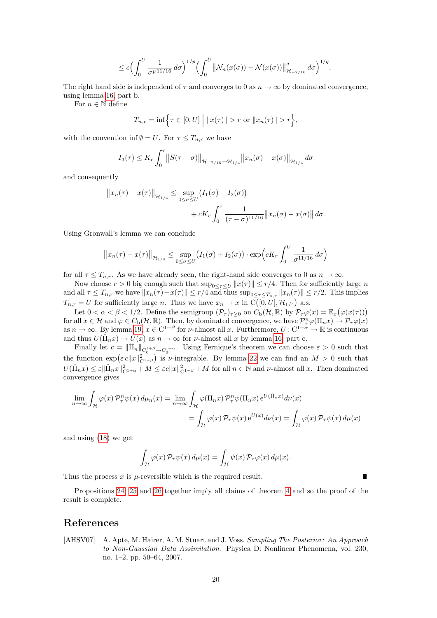$$
\leq c \Bigl(\int_0^U \frac{1}{\sigma^{p\,11/16}}\,d\sigma\Bigr)^{1/p} \Bigl(\int_0^U \bigl\|\mathcal{N}_n(x(\sigma))-\mathcal{N}(x(\sigma))\bigr\|_{\mathcal{H}_{-7/16}}^q\,d\sigma\Bigr)^{1/q}.
$$

The right hand side is independent of  $\tau$  and converges to 0 as  $n \to \infty$  by dominated convergence, using lemma [16,](#page-9-1) part b.

For  $n \in \mathbb{N}$  define

$$
T_{n,r} = \inf \Big\{ \tau \in [0, U] \Big| \ \|x(\tau)\| > r \text{ or } \|x_n(\tau)\| > r \Big\},\
$$

with the convention inf  $\emptyset = U$ . For  $\tau \leq T_{n,r}$  we have

$$
I_3(\tau) \le K_r \int_0^{\tau} ||S(\tau - \sigma)||_{\mathcal{H}_{-\tau/16} \to \mathcal{H}_{1/4}} ||x_n(\sigma) - x(\sigma)||_{\mathcal{H}_{1/4}} d\sigma
$$

and consequently

$$
||x_n(\tau) - x(\tau)||_{\mathcal{H}_{1/4}} \le \sup_{0 \le \sigma \le U} (I_1(\sigma) + I_2(\sigma))
$$
  
+ cK<sub>r</sub>  $\int_0^{\tau} \frac{1}{(\tau - \sigma)^{11/16}} ||x_n(\sigma) - x(\sigma)|| d\sigma.$ 

Using Gronwall's lemma we can conclude

$$
||x_n(\tau) - x(\tau)||_{\mathcal{H}_{1/4}} \leq \sup_{0 \leq \sigma \leq U} (I_1(\sigma) + I_2(\sigma)) \cdot \exp\left(cK_r \int_0^U \frac{1}{\sigma^{11/16}} d\sigma\right)
$$

for all  $\tau \leq T_{n,r}$ . As we have already seen, the right-hand side converges to 0 as  $n \to \infty$ .

Now choose  $r > 0$  big enough such that  $\sup_{0 \leq \tau \leq U} ||x(\tau)|| \leq r/4$ . Then for sufficiently large n and all  $\tau \leq T_{n,r}$  we have  $||x_n(\tau) - x(\tau)|| \leq r/4$  and thus  $\sup_{0 \leq \tau \leq T_{n,r}} ||x_n(\tau)|| \leq r/2$ . This implies  $T_{n,r} = U$  for sufficiently large n. Thus we have  $x_n \to x$  in  $\mathrm{C}\big([0, U], \mathcal{H}_{1/4}\big)$  a.s.

Let  $0 < \alpha < \beta < 1/2$ . Define the semigroup  $(\mathcal{P}_{\tau})_{\tau \geq 0}$  on  $C_{\rm b}(\mathcal{H}, \mathbb{R})$  by  $\mathcal{P}_{\tau} \varphi(x) = \mathbb{E}_x(\varphi(x(\tau)))$ for all  $x \in \mathcal{H}$  and  $\varphi \in C_{\rm b}(\mathcal{H}, \mathbb{R})$ . Then, by dominated convergence, we have  $\mathcal{P}^n_\tau \varphi(\Pi_n x) \to \mathcal{P}_\tau \varphi(x)$ as  $n \to \infty$ . By lemma [19,](#page-12-2)  $x \in C^{1+\beta}$  for  $\nu$ -almost all x. Furthermore,  $U: C^{1+\alpha} \to \mathbb{R}$  is continuous and thus  $U(\hat{\Pi}_n x) \to U(x)$  as  $n \to \infty$  for *v*-almost all x by lemma [16,](#page-9-1) part e.

Finally let  $c = \|\hat{\Pi}_n\|_{C_0^{1+\beta} \to C_0^{1+\alpha}}$ . Using Fernique's theorem we can choose  $\varepsilon > 0$  such that the function  $\exp(\varepsilon c||x||_{C^{1+\beta}}^2)$  is *v*-integrable. By lemma [22](#page-13-0) we can find an  $M > 0$  such that  $U(\hat{\Pi}_n x) \leq \varepsilon \|\hat{\Pi}_n x\|_{\mathcal{C}^{1+\alpha}}^2 + M \leq \varepsilon c \|x\|_{\mathcal{C}^{1+\beta}}^2 + M$  for all  $n \in \mathbb{N}$  and  $\nu$ -almost all  $x$ . Then dominated convergence gives

$$
\lim_{n \to \infty} \int_{\mathcal{H}} \varphi(x) \, \mathcal{P}_{\tau}^{n} \psi(x) \, d\mu_{n}(x) = \lim_{n \to \infty} \int_{\mathcal{H}} \varphi(\Pi_{n}x) \, \mathcal{P}_{\tau}^{n} \psi(\Pi_{n}x) \, e^{U(\hat{\Pi}_{n}x)} d\nu(x)
$$
\n
$$
= \int_{\mathcal{H}} \varphi(x) \, \mathcal{P}_{\tau} \psi(x) \, e^{U(x)} d\nu(x) = \int_{\mathcal{H}} \varphi(x) \, \mathcal{P}_{\tau} \psi(x) \, d\mu(x)
$$

and using [\(18\)](#page-18-0) we get

$$
\int_{\mathcal{H}} \varphi(x) \, \mathcal{P}_{\tau} \psi(x) \, d\mu(x) = \int_{\mathcal{H}} \psi(x) \, \mathcal{P}_{\tau} \varphi(x) \, d\mu(x).
$$

П

Thus the process  $x$  is  $\mu$ -reversible which is the required result.

Propositions [24,](#page-14-4) [25](#page-15-0) and [26](#page-17-0) together imply all claims of theorem [4](#page-3-0) and so the proof of the result is complete.

## References

<span id="page-19-0"></span>[AHSV07] A. Apte, M. Hairer, A. M. Stuart and J. Voss. Sampling The Posterior: An Approach to Non-Gaussian Data Assimilation. Physica D: Nonlinear Phenomena, vol. 230, no. 1–2, pp. 50–64, 2007.